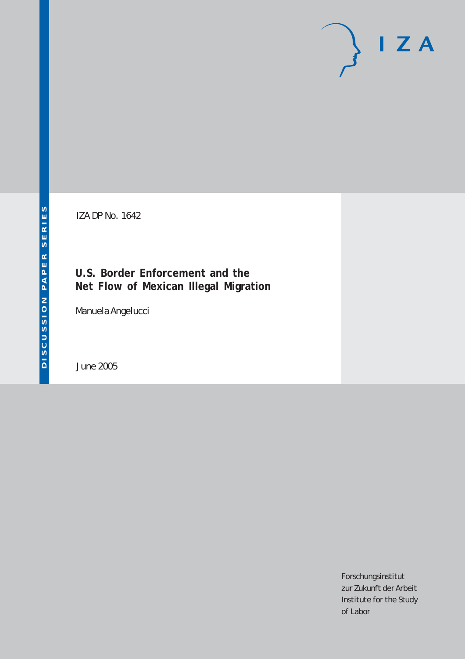# $I Z A$

IZA DP No. 1642

# **U.S. Border Enforcement and the Net Flow of Mexican Illegal Migration**

Manuela Angelucci

June 2005

Forschungsinstitut zur Zukunft der Arbeit Institute for the Study of Labor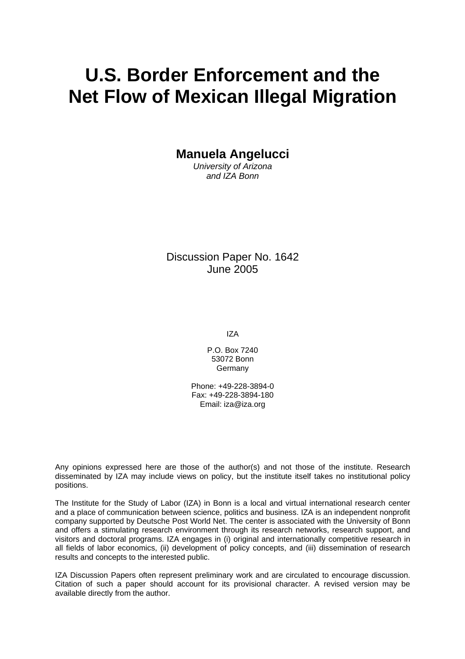# **U.S. Border Enforcement and the Net Flow of Mexican Illegal Migration**

**Manuela Angelucci** 

*University of Arizona and IZA Bonn* 

Discussion Paper No. 1642 June 2005

IZA

P.O. Box 7240 53072 Bonn Germany

Phone: +49-228-3894-0 Fax: +49-228-3894-180 Email: [iza@iza.org](mailto:iza@iza.org)

Any opinions expressed here are those of the author(s) and not those of the institute. Research disseminated by IZA may include views on policy, but the institute itself takes no institutional policy positions.

The Institute for the Study of Labor (IZA) in Bonn is a local and virtual international research center and a place of communication between science, politics and business. IZA is an independent nonprofit company supported by Deutsche Post World Net. The center is associated with the University of Bonn and offers a stimulating research environment through its research networks, research support, and visitors and doctoral programs. IZA engages in (i) original and internationally competitive research in all fields of labor economics, (ii) development of policy concepts, and (iii) dissemination of research results and concepts to the interested public.

IZA Discussion Papers often represent preliminary work and are circulated to encourage discussion. Citation of such a paper should account for its provisional character. A revised version may be available directly from the author.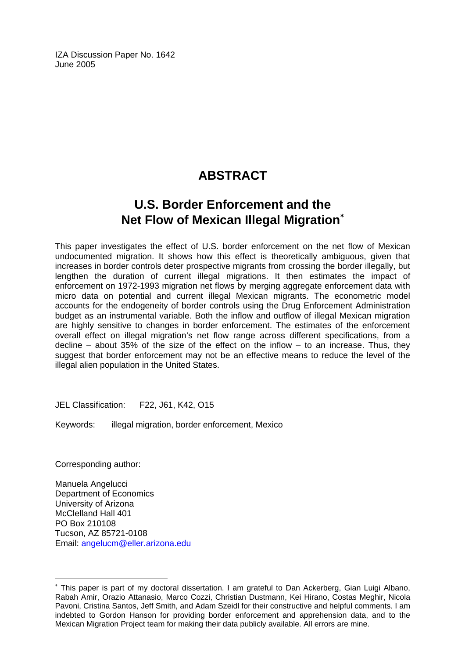IZA Discussion Paper No. 1642 June 2005

# **ABSTRACT**

# **U.S. Border Enforcement and the Net Flow of Mexican Illegal Migration**[∗](#page-2-0)

This paper investigates the effect of U.S. border enforcement on the net flow of Mexican undocumented migration. It shows how this effect is theoretically ambiguous, given that increases in border controls deter prospective migrants from crossing the border illegally, but lengthen the duration of current illegal migrations. It then estimates the impact of enforcement on 1972-1993 migration net flows by merging aggregate enforcement data with micro data on potential and current illegal Mexican migrants. The econometric model accounts for the endogeneity of border controls using the Drug Enforcement Administration budget as an instrumental variable. Both the inflow and outflow of illegal Mexican migration are highly sensitive to changes in border enforcement. The estimates of the enforcement overall effect on illegal migration's net flow range across different specifications, from a decline – about 35% of the size of the effect on the inflow – to an increase. Thus, they suggest that border enforcement may not be an effective means to reduce the level of the illegal alien population in the United States.

JEL Classification: F22, J61, K42, O15

Keywords: illegal migration, border enforcement, Mexico

Corresponding author:

 $\overline{a}$ 

Manuela Angelucci Department of Economics University of Arizona McClelland Hall 401 PO Box 210108 Tucson, AZ 85721-0108 Email: [angelucm@eller.arizona.edu](mailto:angelucm@eller.arizona.edu)

<span id="page-2-0"></span><sup>∗</sup> This paper is part of my doctoral dissertation. I am grateful to Dan Ackerberg, Gian Luigi Albano, Rabah Amir, Orazio Attanasio, Marco Cozzi, Christian Dustmann, Kei Hirano, Costas Meghir, Nicola Pavoni, Cristina Santos, Jeff Smith, and Adam Szeidl for their constructive and helpful comments. I am indebted to Gordon Hanson for providing border enforcement and apprehension data, and to the Mexican Migration Project team for making their data publicly available. All errors are mine.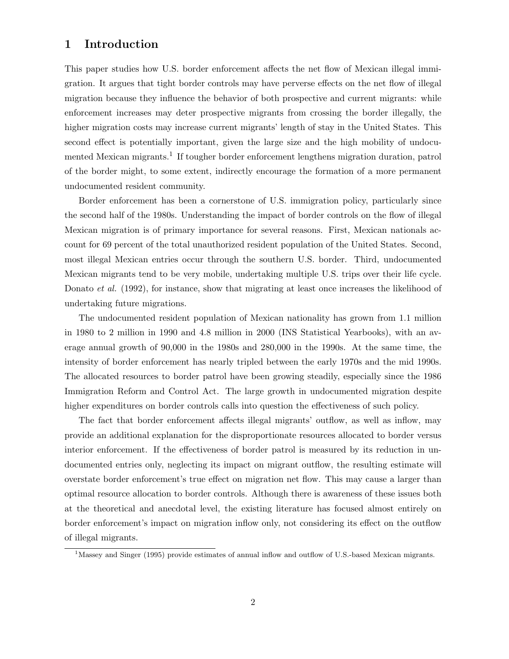#### 1 Introduction

This paper studies how U.S. border enforcement affects the net flow of Mexican illegal immigration. It argues that tight border controls may have perverse effects on the net flow of illegal migration because they influence the behavior of both prospective and current migrants: while enforcement increases may deter prospective migrants from crossing the border illegally, the higher migration costs may increase current migrants' length of stay in the United States. This second effect is potentially important, given the large size and the high mobility of undocumented Mexican migrants.<sup>1</sup> If tougher border enforcement lengthens migration duration, patrol of the border might, to some extent, indirectly encourage the formation of a more permanent undocumented resident community.

Border enforcement has been a cornerstone of U.S. immigration policy, particularly since the second half of the 1980s. Understanding the impact of border controls on the flow of illegal Mexican migration is of primary importance for several reasons. First, Mexican nationals account for 69 percent of the total unauthorized resident population of the United States. Second, most illegal Mexican entries occur through the southern U.S. border. Third, undocumented Mexican migrants tend to be very mobile, undertaking multiple U.S. trips over their life cycle. Donato *et al.* (1992), for instance, show that migrating at least once increases the likelihood of undertaking future migrations.

The undocumented resident population of Mexican nationality has grown from 1.1 million in 1980 to 2 million in 1990 and 4.8 million in 2000 (INS Statistical Yearbooks), with an average annual growth of 90,000 in the 1980s and 280,000 in the 1990s. At the same time, the intensity of border enforcement has nearly tripled between the early 1970s and the mid 1990s. The allocated resources to border patrol have been growing steadily, especially since the 1986 Immigration Reform and Control Act. The large growth in undocumented migration despite higher expenditures on border controls calls into question the effectiveness of such policy.

The fact that border enforcement affects illegal migrants' outflow, as well as inflow, may provide an additional explanation for the disproportionate resources allocated to border versus interior enforcement. If the effectiveness of border patrol is measured by its reduction in undocumented entries only, neglecting its impact on migrant outflow, the resulting estimate will overstate border enforcement's true effect on migration net flow. This may cause a larger than optimal resource allocation to border controls. Although there is awareness of these issues both at the theoretical and anecdotal level, the existing literature has focused almost entirely on border enforcement's impact on migration inflow only, not considering its effect on the outflow of illegal migrants.

<sup>&</sup>lt;sup>1</sup>Massey and Singer (1995) provide estimates of annual inflow and outflow of U.S.-based Mexican migrants.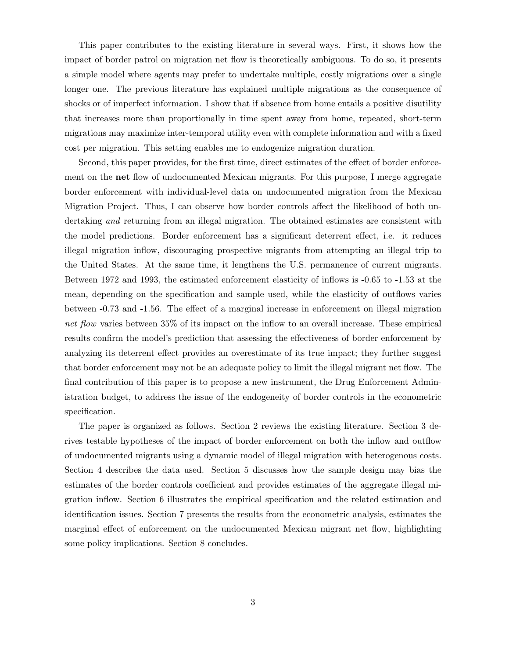This paper contributes to the existing literature in several ways. First, it shows how the impact of border patrol on migration net flow is theoretically ambiguous. To do so, it presents a simple model where agents may prefer to undertake multiple, costly migrations over a single longer one. The previous literature has explained multiple migrations as the consequence of shocks or of imperfect information. I show that if absence from home entails a positive disutility that increases more than proportionally in time spent away from home, repeated, short-term migrations may maximize inter-temporal utility even with complete information and with a fixed cost per migration. This setting enables me to endogenize migration duration.

Second, this paper provides, for the first time, direct estimates of the effect of border enforcement on the net flow of undocumented Mexican migrants. For this purpose, I merge aggregate border enforcement with individual-level data on undocumented migration from the Mexican Migration Project. Thus, I can observe how border controls affect the likelihood of both undertaking *and* returning from an illegal migration. The obtained estimates are consistent with the model predictions. Border enforcement has a significant deterrent effect, i.e. it reduces illegal migration inflow, discouraging prospective migrants from attempting an illegal trip to the United States. At the same time, it lengthens the U.S. permanence of current migrants. Between 1972 and 1993, the estimated enforcement elasticity of inflows is -0.65 to -1.53 at the mean, depending on the specification and sample used, while the elasticity of outflows varies between -0.73 and -1.56. The effect of a marginal increase in enforcement on illegal migration net flow varies between 35% of its impact on the inflow to an overall increase. These empirical results confirm the model's prediction that assessing the effectiveness of border enforcement by analyzing its deterrent effect provides an overestimate of its true impact; they further suggest that border enforcement may not be an adequate policy to limit the illegal migrant net flow. The final contribution of this paper is to propose a new instrument, the Drug Enforcement Administration budget, to address the issue of the endogeneity of border controls in the econometric specification.

The paper is organized as follows. Section 2 reviews the existing literature. Section 3 derives testable hypotheses of the impact of border enforcement on both the inflow and outflow of undocumented migrants using a dynamic model of illegal migration with heterogenous costs. Section 4 describes the data used. Section 5 discusses how the sample design may bias the estimates of the border controls coefficient and provides estimates of the aggregate illegal migration inflow. Section 6 illustrates the empirical specification and the related estimation and identification issues. Section 7 presents the results from the econometric analysis, estimates the marginal effect of enforcement on the undocumented Mexican migrant net flow, highlighting some policy implications. Section 8 concludes.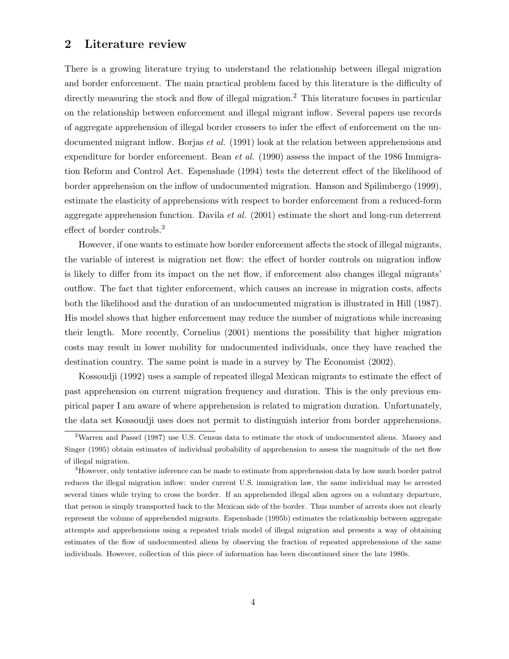#### 2 Literature review

There is a growing literature trying to understand the relationship between illegal migration and border enforcement. The main practical problem faced by this literature is the difficulty of directly measuring the stock and flow of illegal migration.<sup>2</sup> This literature focuses in particular on the relationship between enforcement and illegal migrant inflow. Several papers use records of aggregate apprehension of illegal border crossers to infer the effect of enforcement on the undocumented migrant inflow. Borjas *et al.* (1991) look at the relation between apprehensions and expenditure for border enforcement. Bean *et al.* (1990) assess the impact of the 1986 Immigration Reform and Control Act. Espenshade (1994) tests the deterrent effect of the likelihood of border apprehension on the inflow of undocumented migration. Hanson and Spilimbergo (1999), estimate the elasticity of apprehensions with respect to border enforcement from a reduced-form aggregate apprehension function. Davila et al.  $(2001)$  estimate the short and long-run deterrent effect of border controls.<sup>3</sup>

However, if one wants to estimate how border enforcement affects the stock of illegal migrants, the variable of interest is migration net flow: the effect of border controls on migration inflow is likely to differ from its impact on the net flow, if enforcement also changes illegal migrants' outflow. The fact that tighter enforcement, which causes an increase in migration costs, affects both the likelihood and the duration of an undocumented migration is illustrated in Hill (1987). His model shows that higher enforcement may reduce the number of migrations while increasing their length. More recently, Cornelius (2001) mentions the possibility that higher migration costs may result in lower mobility for undocumented individuals, once they have reached the destination country. The same point is made in a survey by The Economist (2002).

Kossoudji (1992) uses a sample of repeated illegal Mexican migrants to estimate the effect of past apprehension on current migration frequency and duration. This is the only previous empirical paper I am aware of where apprehension is related to migration duration. Unfortunately, the data set Kossoudji uses does not permit to distinguish interior from border apprehensions.

<sup>&</sup>lt;sup>2</sup>Warren and Passel (1987) use U.S. Census data to estimate the stock of undocumented aliens. Massey and Singer (1995) obtain estimates of individual probability of apprehension to assess the magnitude of the net flow of illegal migration.

<sup>3</sup>However, only tentative inference can be made to estimate from apprehension data by how much border patrol reduces the illegal migration inflow: under current U.S. immigration law, the same individual may be arrested several times while trying to cross the border. If an apprehended illegal alien agrees on a voluntary departure, that person is simply transported back to the Mexican side of the border. Thus number of arrests does not clearly represent the volume of apprehended migrants. Espenshade (1995b) estimates the relationship between aggregate attempts and apprehensions using a repeated trials model of illegal migration and presents a way of obtaining estimates of the flow of undocumented aliens by observing the fraction of repeated apprehensions of the same individuals. However, collection of this piece of information has been discontinued since the late 1980s.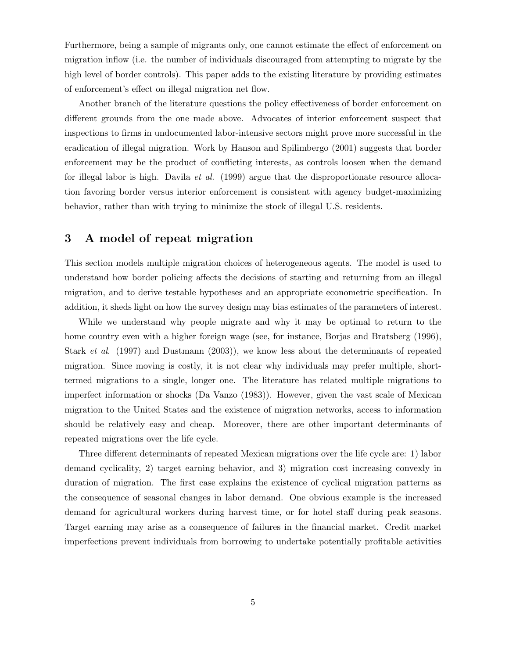Furthermore, being a sample of migrants only, one cannot estimate the effect of enforcement on migration inflow (i.e. the number of individuals discouraged from attempting to migrate by the high level of border controls). This paper adds to the existing literature by providing estimates of enforcement's effect on illegal migration net flow.

Another branch of the literature questions the policy effectiveness of border enforcement on different grounds from the one made above. Advocates of interior enforcement suspect that inspections to firms in undocumented labor-intensive sectors might prove more successful in the eradication of illegal migration. Work by Hanson and Spilimbergo (2001) suggests that border enforcement may be the product of conflicting interests, as controls loosen when the demand for illegal labor is high. Davila et al.  $(1999)$  argue that the disproportionate resource allocation favoring border versus interior enforcement is consistent with agency budget-maximizing behavior, rather than with trying to minimize the stock of illegal U.S. residents.

#### 3 A model of repeat migration

This section models multiple migration choices of heterogeneous agents. The model is used to understand how border policing affects the decisions of starting and returning from an illegal migration, and to derive testable hypotheses and an appropriate econometric specification. In addition, it sheds light on how the survey design may bias estimates of the parameters of interest.

While we understand why people migrate and why it may be optimal to return to the home country even with a higher foreign wage (see, for instance, Borjas and Bratsberg (1996), Stark et al. (1997) and Dustmann (2003)), we know less about the determinants of repeated migration. Since moving is costly, it is not clear why individuals may prefer multiple, shorttermed migrations to a single, longer one. The literature has related multiple migrations to imperfect information or shocks (Da Vanzo (1983)). However, given the vast scale of Mexican migration to the United States and the existence of migration networks, access to information should be relatively easy and cheap. Moreover, there are other important determinants of repeated migrations over the life cycle.

Three different determinants of repeated Mexican migrations over the life cycle are: 1) labor demand cyclicality, 2) target earning behavior, and 3) migration cost increasing convexly in duration of migration. The first case explains the existence of cyclical migration patterns as the consequence of seasonal changes in labor demand. One obvious example is the increased demand for agricultural workers during harvest time, or for hotel staff during peak seasons. Target earning may arise as a consequence of failures in the financial market. Credit market imperfections prevent individuals from borrowing to undertake potentially profitable activities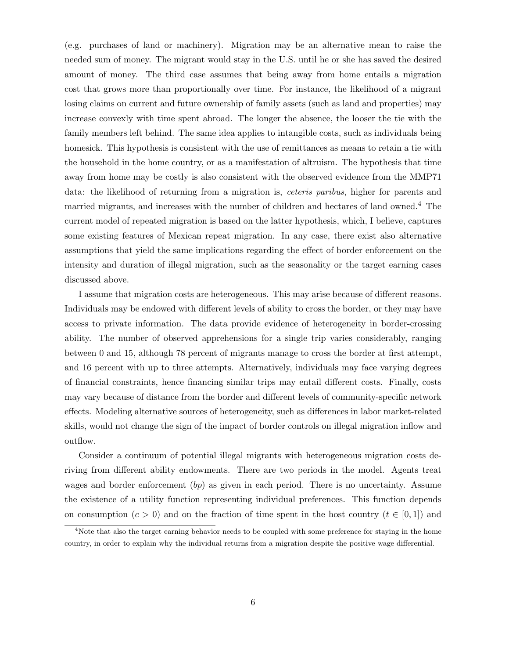(e.g. purchases of land or machinery). Migration may be an alternative mean to raise the needed sum of money. The migrant would stay in the U.S. until he or she has saved the desired amount of money. The third case assumes that being away from home entails a migration cost that grows more than proportionally over time. For instance, the likelihood of a migrant losing claims on current and future ownership of family assets (such as land and properties) may increase convexly with time spent abroad. The longer the absence, the looser the tie with the family members left behind. The same idea applies to intangible costs, such as individuals being homesick. This hypothesis is consistent with the use of remittances as means to retain a tie with the household in the home country, or as a manifestation of altruism. The hypothesis that time away from home may be costly is also consistent with the observed evidence from the MMP71 data: the likelihood of returning from a migration is, *ceteris paribus*, higher for parents and married migrants, and increases with the number of children and hectares of land owned.<sup>4</sup> The current model of repeated migration is based on the latter hypothesis, which, I believe, captures some existing features of Mexican repeat migration. In any case, there exist also alternative assumptions that yield the same implications regarding the effect of border enforcement on the intensity and duration of illegal migration, such as the seasonality or the target earning cases discussed above.

I assume that migration costs are heterogeneous. This may arise because of different reasons. Individuals may be endowed with different levels of ability to cross the border, or they may have access to private information. The data provide evidence of heterogeneity in border-crossing ability. The number of observed apprehensions for a single trip varies considerably, ranging between 0 and 15, although 78 percent of migrants manage to cross the border at first attempt, and 16 percent with up to three attempts. Alternatively, individuals may face varying degrees of financial constraints, hence financing similar trips may entail different costs. Finally, costs may vary because of distance from the border and different levels of community-specific network effects. Modeling alternative sources of heterogeneity, such as differences in labor market-related skills, would not change the sign of the impact of border controls on illegal migration inflow and outflow.

Consider a continuum of potential illegal migrants with heterogeneous migration costs deriving from different ability endowments. There are two periods in the model. Agents treat wages and border enforcement  $(bp)$  as given in each period. There is no uncertainty. Assume the existence of a utility function representing individual preferences. This function depends on consumption  $(c > 0)$  and on the fraction of time spent in the host country  $(t \in [0, 1])$  and

<sup>&</sup>lt;sup>4</sup>Note that also the target earning behavior needs to be coupled with some preference for staying in the home country, in order to explain why the individual returns from a migration despite the positive wage differential.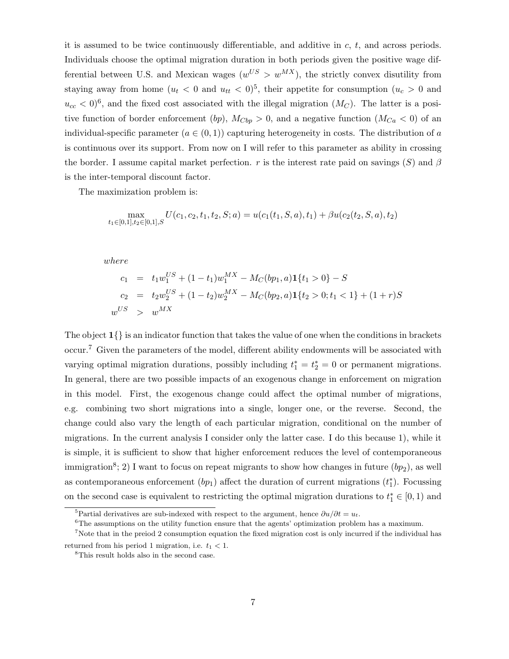it is assumed to be twice continuously differentiable, and additive in  $c, t$ , and across periods. Individuals choose the optimal migration duration in both periods given the positive wage differential between U.S. and Mexican wages  $(w^{US} > w^{MX})$ , the strictly convex disutility from staying away from home  $(u_t < 0$  and  $u_{tt} < 0)^5$ , their appetite for consumption  $(u_c > 0$  and  $u_{cc} < 0$ <sup>6</sup>, and the fixed cost associated with the illegal migration  $(M_C)$ . The latter is a positive function of border enforcement (bp),  $M_{Cbp} > 0$ , and a negative function  $(M_{Ca} < 0)$  of an individual-specific parameter  $(a \in (0, 1))$  capturing heterogeneity in costs. The distribution of a is continuous over its support. From now on I will refer to this parameter as ability in crossing the border. I assume capital market perfection. r is the interest rate paid on savings  $(S)$  and  $\beta$ is the inter-temporal discount factor.

The maximization problem is:

$$
\max_{t_1 \in [0,1], t_2 \in [0,1], S} U(c_1, c_2, t_1, t_2, S; a) = u(c_1(t_1, S, a), t_1) + \beta u(c_2(t_2, S, a), t_2)
$$

where

$$
c_1 = t_1 w_1^{US} + (1 - t_1) w_1^{MX} - M_C(bp_1, a) \mathbf{1} \{t_1 > 0\} - S
$$
  
\n
$$
c_2 = t_2 w_2^{US} + (1 - t_2) w_2^{MX} - M_C(bp_2, a) \mathbf{1} \{t_2 > 0; t_1 < 1\} + (1 + r)S
$$
  
\n
$$
w^{US} > w^{MX}
$$

The object 1{} is an indicator function that takes the value of one when the conditions in brackets occur.<sup>7</sup> Given the parameters of the model, different ability endowments will be associated with varying optimal migration durations, possibly including  $t_1^* = t_2^* = 0$  or permanent migrations. In general, there are two possible impacts of an exogenous change in enforcement on migration in this model. First, the exogenous change could affect the optimal number of migrations, e.g. combining two short migrations into a single, longer one, or the reverse. Second, the change could also vary the length of each particular migration, conditional on the number of migrations. In the current analysis I consider only the latter case. I do this because 1), while it is simple, it is sufficient to show that higher enforcement reduces the level of contemporaneous immigration<sup>8</sup>; 2) I want to focus on repeat migrants to show how changes in future  $(bp_2)$ , as well as contemporaneous enforcement  $(bp_1)$  affect the duration of current migrations  $(t_1^*)$ . Focussing on the second case is equivalent to restricting the optimal migration durations to  $t_1^* \in [0, 1)$  and

<sup>&</sup>lt;sup>5</sup>Partial derivatives are sub-indexed with respect to the argument, hence  $\partial u/\partial t = u_t$ .

 $6$ The assumptions on the utility function ensure that the agents' optimization problem has a maximum.

<sup>&</sup>lt;sup>7</sup>Note that in the preiod 2 consumption equation the fixed migration cost is only incurred if the individual has returned from his period 1 migration, i.e.  $t_1 < 1$ .

<sup>8</sup>This result holds also in the second case.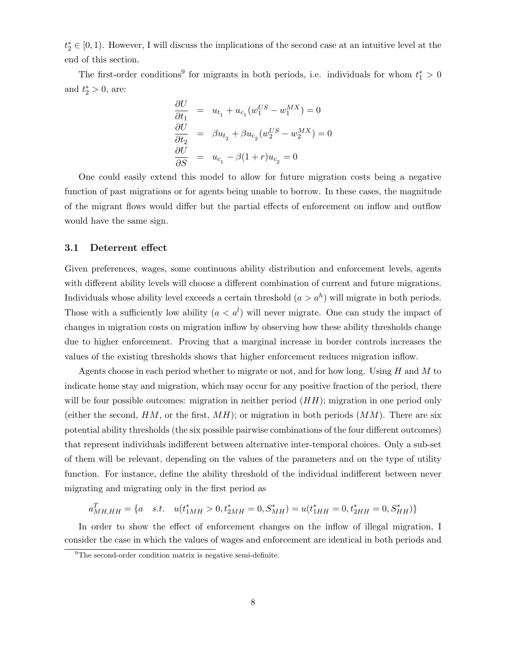$t_2^* \in [0, 1)$ . However, I will discuss the implications of the second case at an intuitive level at the end of this section.

The first-order conditions<sup>9</sup> for migrants in both periods, i.e. individuals for whom  $t_1^* > 0$ and  $t_2^* > 0$ , are:

$$
\frac{\partial U}{\partial t_1} = u_{t_1} + u_{c_1}(w_1^{US} - w_1^{MX}) = 0
$$
  

$$
\frac{\partial U}{\partial t_2} = \beta u_{t_2} + \beta u_{c_2}(w_2^{US} - w_2^{MX}) = 0
$$
  

$$
\frac{\partial U}{\partial S} = u_{c_1} - \beta(1+r)u_{c_2} = 0
$$

One could easily extend this model to allow for future migration costs being a negative function of past migrations or for agents being unable to borrow. In these cases, the magnitude of the migrant flows would differ but the partial effects of enforcement on inflow and outflow would have the same sign.

#### 3.1 Deterrent effect

Given preferences, wages, some continuous ability distribution and enforcement levels, agents with different ability levels will choose a different combination of current and future migrations. Individuals whose ability level exceeds a certain threshold  $(a > a^h)$  will migrate in both periods. Those with a sufficiently low ability  $(a < a^l)$  will never migrate. One can study the impact of changes in migration costs on migration inflow by observing how these ability thresholds change due to higher enforcement. Proving that a marginal increase in border controls increases the values of the existing thresholds shows that higher enforcement reduces migration inflow.

Agents choose in each period whether to migrate or not, and for how long. Using  $H$  and  $M$  to indicate home stay and migration, which may occur for any positive fraction of the period, there will be four possible outcomes: migration in neither period  $(HH)$ ; migration in one period only (either the second,  $HM$ , or the first,  $MH$ ); or migration in both periods  $(MM)$ . There are six potential ability thresholds (the six possible pairwise combinations of the four different outcomes) that represent individuals indifferent between alternative inter-temporal choices. Only a sub-set of them will be relevant, depending on the values of the parameters and on the type of utility function. For instance, define the ability threshold of the individual indifferent between never migrating and migrating only in the first period as

$$
a_{MH,HH}^T = \{a \quad s.t. \quad u(t_{1MH}^*) > 0, t_{2MH}^* = 0, S_{MH}^* = u(t_{1HH}^* = 0, t_{2HH}^* = 0, S_{HH}^* \}
$$

In order to show the effect of enforcement changes on the inflow of illegal migration, I consider the case in which the values of wages and enforcement are identical in both periods and

<sup>&</sup>lt;sup>9</sup>The second-order condition matrix is negative semi-definite.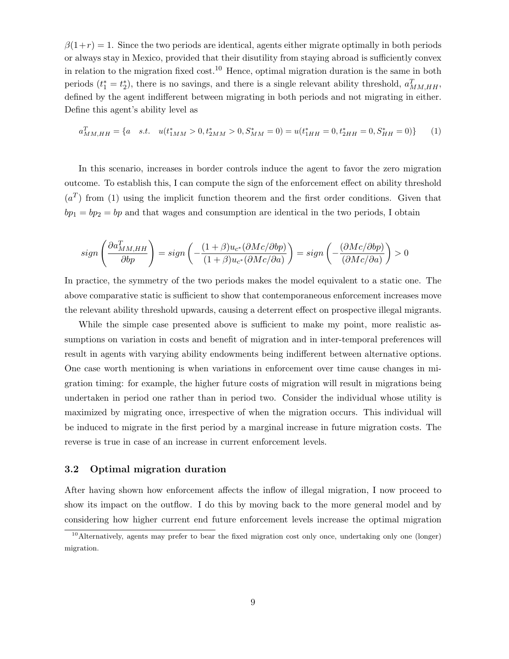$\beta(1+r) = 1$ . Since the two periods are identical, agents either migrate optimally in both periods or always stay in Mexico, provided that their disutility from staying abroad is sufficiently convex in relation to the migration fixed  $cost<sup>10</sup>$ . Hence, optimal migration duration is the same in both periods  $(t_1^* = t_2^*)$ , there is no savings, and there is a single relevant ability threshold,  $a_{MM,HH}^T$ , defined by the agent indifferent between migrating in both periods and not migrating in either. Define this agent's ability level as

$$
a_{MM,HH}^T = \{a \quad s.t. \quad u(t_{1MM}^* > 0, t_{2MM}^* > 0, S_{MM}^* = 0) = u(t_{1HH}^* = 0, t_{2HH}^* = 0, S_{HH}^* = 0)\} \tag{1}
$$

In this scenario, increases in border controls induce the agent to favor the zero migration outcome. To establish this, I can compute the sign of the enforcement effect on ability threshold  $(a^T)$  from (1) using the implicit function theorem and the first order conditions. Given that  $bp_1 = bp_2 = bp$  and that wages and consumption are identical in the two periods, I obtain

$$
sign\left(\frac{\partial a_{MM,HH}^T}{\partial bp}\right) = sign\left(-\frac{(1+\beta)u_{c^*}(\partial Mc/\partial bp)}{(1+\beta)u_{c^*}(\partial Mc/\partial a)}\right) = sign\left(-\frac{(\partial Mc/\partial bp)}{(\partial Mc/\partial a)}\right) > 0
$$

In practice, the symmetry of the two periods makes the model equivalent to a static one. The above comparative static is sufficient to show that contemporaneous enforcement increases move the relevant ability threshold upwards, causing a deterrent effect on prospective illegal migrants.

While the simple case presented above is sufficient to make my point, more realistic assumptions on variation in costs and benefit of migration and in inter-temporal preferences will result in agents with varying ability endowments being indifferent between alternative options. One case worth mentioning is when variations in enforcement over time cause changes in migration timing: for example, the higher future costs of migration will result in migrations being undertaken in period one rather than in period two. Consider the individual whose utility is maximized by migrating once, irrespective of when the migration occurs. This individual will be induced to migrate in the first period by a marginal increase in future migration costs. The reverse is true in case of an increase in current enforcement levels.

#### 3.2 Optimal migration duration

After having shown how enforcement affects the inflow of illegal migration, I now proceed to show its impact on the outflow. I do this by moving back to the more general model and by considering how higher current end future enforcement levels increase the optimal migration

<sup>10</sup>Alternatively, agents may prefer to bear the fixed migration cost only once, undertaking only one (longer) migration.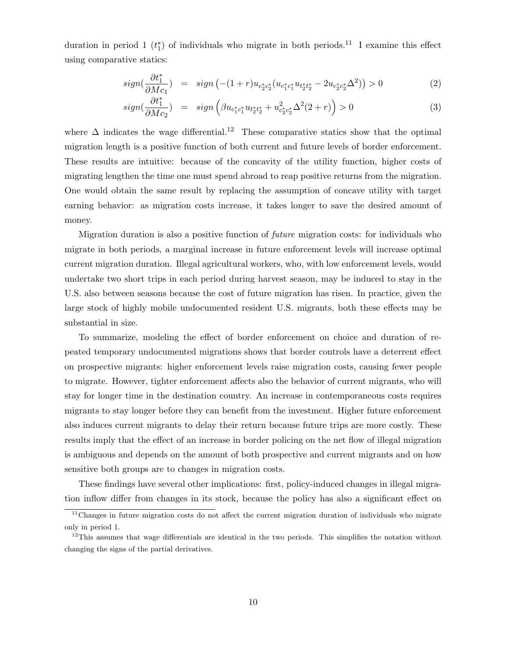duration in period 1  $(t_1^*)$  of individuals who migrate in both periods.<sup>11</sup> I examine this effect using comparative statics:

$$
sign(\frac{\partial t_1^*}{\partial Mc_1}) = sign(-(1+r)u_{c_2^*c_2^*}(u_{c_1^*c_1^*}u_{t_2^*c_2^*} - 2u_{c_2^*c_2^*}\Delta^2)) > 0
$$
\n(2)

$$
sign(\frac{\partial t_1^*}{\partial Mc_2}) = sign\left(\beta u_{c_1^*c_1^*}u_{t_2^*t_2^*} + u_{c_2^*c_2^*}^2\Delta^2(2+r)\right) > 0\tag{3}
$$

where  $\Delta$  indicates the wage differential.<sup>12</sup> These comparative statics show that the optimal migration length is a positive function of both current and future levels of border enforcement. These results are intuitive: because of the concavity of the utility function, higher costs of migrating lengthen the time one must spend abroad to reap positive returns from the migration. One would obtain the same result by replacing the assumption of concave utility with target earning behavior: as migration costs increase, it takes longer to save the desired amount of money.

Migration duration is also a positive function of future migration costs: for individuals who migrate in both periods, a marginal increase in future enforcement levels will increase optimal current migration duration. Illegal agricultural workers, who, with low enforcement levels, would undertake two short trips in each period during harvest season, may be induced to stay in the U.S. also between seasons because the cost of future migration has risen. In practice, given the large stock of highly mobile undocumented resident U.S. migrants, both these effects may be substantial in size.

To summarize, modeling the effect of border enforcement on choice and duration of repeated temporary undocumented migrations shows that border controls have a deterrent effect on prospective migrants: higher enforcement levels raise migration costs, causing fewer people to migrate. However, tighter enforcement affects also the behavior of current migrants, who will stay for longer time in the destination country. An increase in contemporaneous costs requires migrants to stay longer before they can benefit from the investment. Higher future enforcement also induces current migrants to delay their return because future trips are more costly. These results imply that the effect of an increase in border policing on the net flow of illegal migration is ambiguous and depends on the amount of both prospective and current migrants and on how sensitive both groups are to changes in migration costs.

These findings have several other implications: first, policy-induced changes in illegal migration inflow differ from changes in its stock, because the policy has also a significant effect on

<sup>&</sup>lt;sup>11</sup>Changes in future migration costs do not affect the current migration duration of individuals who migrate only in period 1.

<sup>&</sup>lt;sup>12</sup>This assumes that wage differentials are identical in the two periods. This simplifies the notation without changing the signs of the partial derivatives.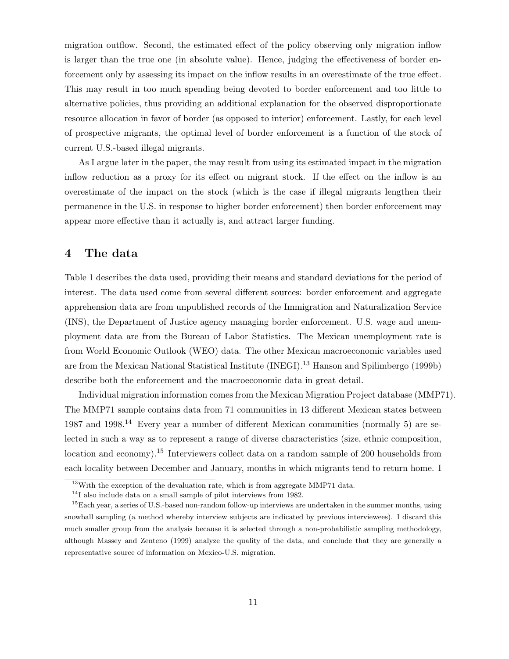migration outflow. Second, the estimated effect of the policy observing only migration inflow is larger than the true one (in absolute value). Hence, judging the effectiveness of border enforcement only by assessing its impact on the inflow results in an overestimate of the true effect. This may result in too much spending being devoted to border enforcement and too little to alternative policies, thus providing an additional explanation for the observed disproportionate resource allocation in favor of border (as opposed to interior) enforcement. Lastly, for each level of prospective migrants, the optimal level of border enforcement is a function of the stock of current U.S.-based illegal migrants.

As I argue later in the paper, the may result from using its estimated impact in the migration inflow reduction as a proxy for its effect on migrant stock. If the effect on the inflow is an overestimate of the impact on the stock (which is the case if illegal migrants lengthen their permanence in the U.S. in response to higher border enforcement) then border enforcement may appear more effective than it actually is, and attract larger funding.

#### 4 The data

Table 1 describes the data used, providing their means and standard deviations for the period of interest. The data used come from several different sources: border enforcement and aggregate apprehension data are from unpublished records of the Immigration and Naturalization Service (INS), the Department of Justice agency managing border enforcement. U.S. wage and unemployment data are from the Bureau of Labor Statistics. The Mexican unemployment rate is from World Economic Outlook (WEO) data. The other Mexican macroeconomic variables used are from the Mexican National Statistical Institute (INEGI).<sup>13</sup> Hanson and Spilimbergo (1999b) describe both the enforcement and the macroeconomic data in great detail.

Individual migration information comes from the Mexican Migration Project database (MMP71). The MMP71 sample contains data from 71 communities in 13 different Mexican states between 1987 and 1998.<sup>14</sup> Every year a number of different Mexican communities (normally 5) are selected in such a way as to represent a range of diverse characteristics (size, ethnic composition, location and economy).<sup>15</sup> Interviewers collect data on a random sample of 200 households from each locality between December and January, months in which migrants tend to return home. I

 $13$ With the exception of the devaluation rate, which is from aggregate MMP71 data.

<sup>&</sup>lt;sup>14</sup>I also include data on a small sample of pilot interviews from 1982.

<sup>&</sup>lt;sup>15</sup>Each year, a series of U.S.-based non-random follow-up interviews are undertaken in the summer months, using snowball sampling (a method whereby interview subjects are indicated by previous interviewees). I discard this much smaller group from the analysis because it is selected through a non-probabilistic sampling methodology, although Massey and Zenteno (1999) analyze the quality of the data, and conclude that they are generally a representative source of information on Mexico-U.S. migration.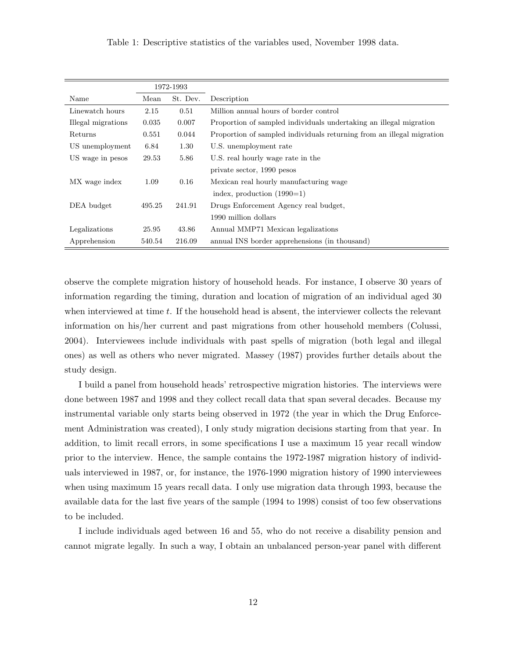Table 1: Descriptive statistics of the variables used, November 1998 data.

|                    |        | 1972-1993 |                                                                       |
|--------------------|--------|-----------|-----------------------------------------------------------------------|
| Name               | Mean   | St. Dev.  | Description                                                           |
| Linewatch hours    | 2.15   | 0.51      | Million annual hours of border control                                |
| Illegal migrations | 0.035  | 0.007     | Proportion of sampled individuals undertaking an illegal migration    |
| Returns            | 0.551  | 0.044     | Proportion of sampled individuals returning from an illegal migration |
| US unemployment    | 6.84   | 1.30      | U.S. unemployment rate                                                |
| US wage in pesos   | 29.53  | 5.86      | U.S. real hourly wage rate in the                                     |
|                    |        |           | private sector, 1990 pesos                                            |
| MX wage index      | 1.09   | 0.16      | Mexican real hourly manufacturing wage                                |
|                    |        |           | index, production $(1990=1)$                                          |
| DEA budget         | 495.25 | 241.91    | Drugs Enforcement Agency real budget,                                 |
|                    |        |           | 1990 million dollars                                                  |
| Legalizations      | 25.95  | 43.86     | Annual MMP71 Mexican legalizations                                    |
| Apprehension       | 540.54 | 216.09    | annual INS border apprehensions (in thousand)                         |

observe the complete migration history of household heads. For instance, I observe 30 years of information regarding the timing, duration and location of migration of an individual aged 30 when interviewed at time  $t$ . If the household head is absent, the interviewer collects the relevant information on his/her current and past migrations from other household members (Colussi, 2004). Interviewees include individuals with past spells of migration (both legal and illegal ones) as well as others who never migrated. Massey (1987) provides further details about the study design.

I build a panel from household heads' retrospective migration histories. The interviews were done between 1987 and 1998 and they collect recall data that span several decades. Because my instrumental variable only starts being observed in 1972 (the year in which the Drug Enforcement Administration was created), I only study migration decisions starting from that year. In addition, to limit recall errors, in some specifications I use a maximum 15 year recall window prior to the interview. Hence, the sample contains the 1972-1987 migration history of individuals interviewed in 1987, or, for instance, the 1976-1990 migration history of 1990 interviewees when using maximum 15 years recall data. I only use migration data through 1993, because the available data for the last five years of the sample (1994 to 1998) consist of too few observations to be included.

I include individuals aged between 16 and 55, who do not receive a disability pension and cannot migrate legally. In such a way, I obtain an unbalanced person-year panel with different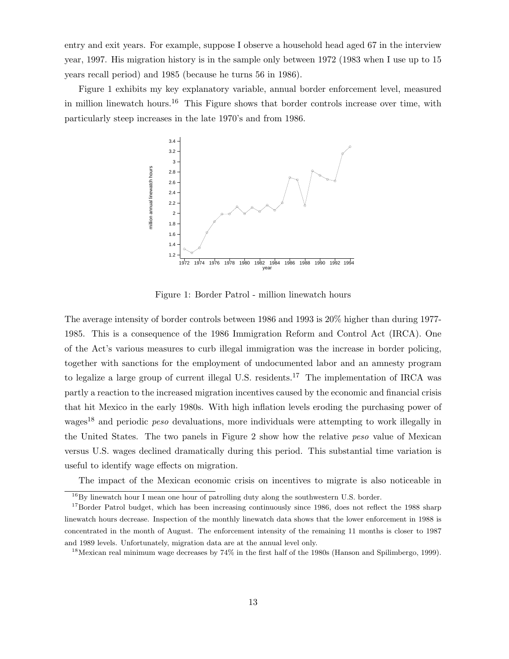entry and exit years. For example, suppose I observe a household head aged 67 in the interview year, 1997. His migration history is in the sample only between 1972 (1983 when I use up to 15 years recall period) and 1985 (because he turns 56 in 1986).

Figure 1 exhibits my key explanatory variable, annual border enforcement level, measured in million linewatch hours.<sup>16</sup> This Figure shows that border controls increase over time, with particularly steep increases in the late 1970's and from 1986.



Figure 1: Border Patrol - million linewatch hours

The average intensity of border controls between 1986 and 1993 is 20% higher than during 1977- 1985. This is a consequence of the 1986 Immigration Reform and Control Act (IRCA). One of the Act's various measures to curb illegal immigration was the increase in border policing, together with sanctions for the employment of undocumented labor and an amnesty program to legalize a large group of current illegal U.S. residents.<sup>17</sup> The implementation of IRCA was partly a reaction to the increased migration incentives caused by the economic and financial crisis that hit Mexico in the early 1980s. With high inflation levels eroding the purchasing power of wages<sup>18</sup> and periodic *peso* devaluations, more individuals were attempting to work illegally in the United States. The two panels in Figure 2 show how the relative peso value of Mexican versus U.S. wages declined dramatically during this period. This substantial time variation is useful to identify wage effects on migration.

The impact of the Mexican economic crisis on incentives to migrate is also noticeable in

 $^{16}\mathrm{By}$  linewatch hour I mean one hour of patrolling duty along the southwestern U.S. border.

<sup>&</sup>lt;sup>17</sup>Border Patrol budget, which has been increasing continuously since 1986, does not reflect the 1988 sharp linewatch hours decrease. Inspection of the monthly linewatch data shows that the lower enforcement in 1988 is concentrated in the month of August. The enforcement intensity of the remaining 11 months is closer to 1987 and 1989 levels. Unfortunately, migration data are at the annual level only.

<sup>18</sup>Mexican real minimum wage decreases by 74% in the first half of the 1980s (Hanson and Spilimbergo, 1999).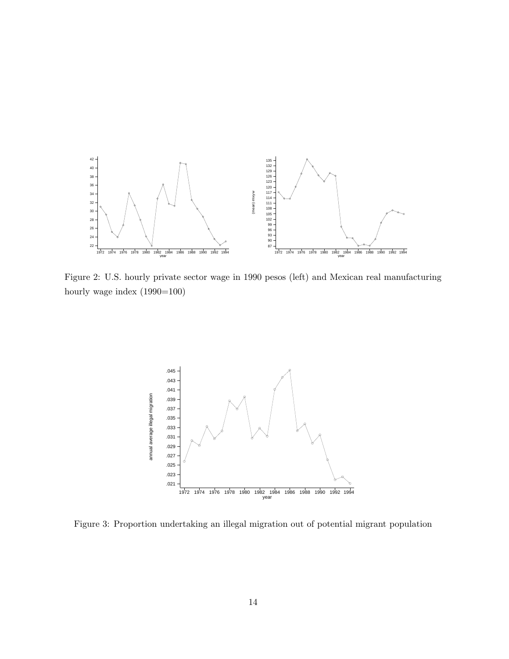

Figure 2: U.S. hourly private sector wage in 1990 pesos (left) and Mexican real manufacturing hourly wage index  $(1990=100)$ 



Figure 3: Proportion undertaking an illegal migration out of potential migrant population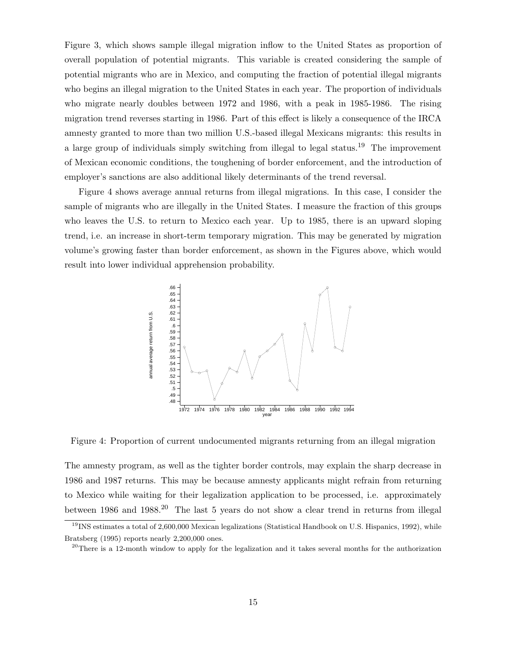Figure 3, which shows sample illegal migration inflow to the United States as proportion of overall population of potential migrants. This variable is created considering the sample of potential migrants who are in Mexico, and computing the fraction of potential illegal migrants who begins an illegal migration to the United States in each year. The proportion of individuals who migrate nearly doubles between 1972 and 1986, with a peak in 1985-1986. The rising migration trend reverses starting in 1986. Part of this effect is likely a consequence of the IRCA amnesty granted to more than two million U.S.-based illegal Mexicans migrants: this results in a large group of individuals simply switching from illegal to legal status.<sup>19</sup> The improvement of Mexican economic conditions, the toughening of border enforcement, and the introduction of employer's sanctions are also additional likely determinants of the trend reversal.

Figure 4 shows average annual returns from illegal migrations. In this case, I consider the sample of migrants who are illegally in the United States. I measure the fraction of this groups who leaves the U.S. to return to Mexico each year. Up to 1985, there is an upward sloping trend, i.e. an increase in short-term temporary migration. This may be generated by migration volume's growing faster than border enforcement, as shown in the Figures above, which would result into lower individual apprehension probability.



Figure 4: Proportion of current undocumented migrants returning from an illegal migration

The amnesty program, as well as the tighter border controls, may explain the sharp decrease in 1986 and 1987 returns. This may be because amnesty applicants might refrain from returning to Mexico while waiting for their legalization application to be processed, i.e. approximately between 1986 and 1988.<sup>20</sup> The last 5 years do not show a clear trend in returns from illegal

 $19$ INS estimates a total of 2,600,000 Mexican legalizations (Statistical Handbook on U.S. Hispanics, 1992), while Bratsberg (1995) reports nearly 2,200,000 ones.

<sup>&</sup>lt;sup>20</sup>There is a 12-month window to apply for the legalization and it takes several months for the authorization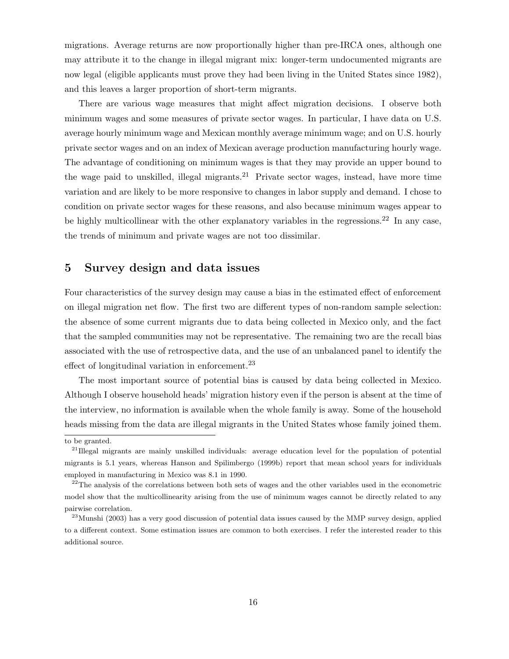migrations. Average returns are now proportionally higher than pre-IRCA ones, although one may attribute it to the change in illegal migrant mix: longer-term undocumented migrants are now legal (eligible applicants must prove they had been living in the United States since 1982), and this leaves a larger proportion of short-term migrants.

There are various wage measures that might affect migration decisions. I observe both minimum wages and some measures of private sector wages. In particular, I have data on U.S. average hourly minimum wage and Mexican monthly average minimum wage; and on U.S. hourly private sector wages and on an index of Mexican average production manufacturing hourly wage. The advantage of conditioning on minimum wages is that they may provide an upper bound to the wage paid to unskilled, illegal migrants.<sup>21</sup> Private sector wages, instead, have more time variation and are likely to be more responsive to changes in labor supply and demand. I chose to condition on private sector wages for these reasons, and also because minimum wages appear to be highly multicollinear with the other explanatory variables in the regressions.<sup>22</sup> In any case, the trends of minimum and private wages are not too dissimilar.

#### 5 Survey design and data issues

Four characteristics of the survey design may cause a bias in the estimated effect of enforcement on illegal migration net flow. The first two are different types of non-random sample selection: the absence of some current migrants due to data being collected in Mexico only, and the fact that the sampled communities may not be representative. The remaining two are the recall bias associated with the use of retrospective data, and the use of an unbalanced panel to identify the effect of longitudinal variation in enforcement.<sup>23</sup>

The most important source of potential bias is caused by data being collected in Mexico. Although I observe household heads' migration history even if the person is absent at the time of the interview, no information is available when the whole family is away. Some of the household heads missing from the data are illegal migrants in the United States whose family joined them.

to be granted.

<sup>&</sup>lt;sup>21</sup>Illegal migrants are mainly unskilled individuals: average education level for the population of potential migrants is 5.1 years, whereas Hanson and Spilimbergo (1999b) report that mean school years for individuals employed in manufacturing in Mexico was 8.1 in 1990.

<sup>&</sup>lt;sup>22</sup>The analysis of the correlations between both sets of wages and the other variables used in the econometric model show that the multicollinearity arising from the use of minimum wages cannot be directly related to any pairwise correlation.

<sup>&</sup>lt;sup>23</sup>Munshi (2003) has a very good discussion of potential data issues caused by the MMP survey design, applied to a different context. Some estimation issues are common to both exercises. I refer the interested reader to this additional source.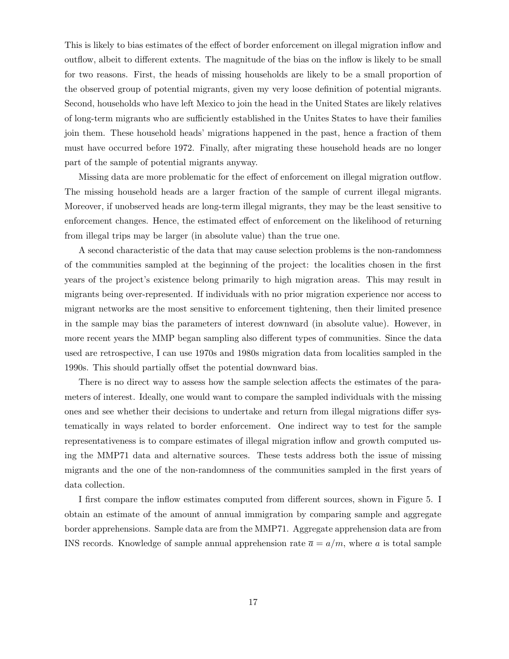This is likely to bias estimates of the effect of border enforcement on illegal migration inflow and outflow, albeit to different extents. The magnitude of the bias on the inflow is likely to be small for two reasons. First, the heads of missing households are likely to be a small proportion of the observed group of potential migrants, given my very loose definition of potential migrants. Second, households who have left Mexico to join the head in the United States are likely relatives of long-term migrants who are sufficiently established in the Unites States to have their families join them. These household heads' migrations happened in the past, hence a fraction of them must have occurred before 1972. Finally, after migrating these household heads are no longer part of the sample of potential migrants anyway.

Missing data are more problematic for the effect of enforcement on illegal migration outflow. The missing household heads are a larger fraction of the sample of current illegal migrants. Moreover, if unobserved heads are long-term illegal migrants, they may be the least sensitive to enforcement changes. Hence, the estimated effect of enforcement on the likelihood of returning from illegal trips may be larger (in absolute value) than the true one.

A second characteristic of the data that may cause selection problems is the non-randomness of the communities sampled at the beginning of the project: the localities chosen in the first years of the project's existence belong primarily to high migration areas. This may result in migrants being over-represented. If individuals with no prior migration experience nor access to migrant networks are the most sensitive to enforcement tightening, then their limited presence in the sample may bias the parameters of interest downward (in absolute value). However, in more recent years the MMP began sampling also different types of communities. Since the data used are retrospective, I can use 1970s and 1980s migration data from localities sampled in the 1990s. This should partially offset the potential downward bias.

There is no direct way to assess how the sample selection affects the estimates of the parameters of interest. Ideally, one would want to compare the sampled individuals with the missing ones and see whether their decisions to undertake and return from illegal migrations differ systematically in ways related to border enforcement. One indirect way to test for the sample representativeness is to compare estimates of illegal migration inflow and growth computed using the MMP71 data and alternative sources. These tests address both the issue of missing migrants and the one of the non-randomness of the communities sampled in the first years of data collection.

I first compare the inflow estimates computed from different sources, shown in Figure 5. I obtain an estimate of the amount of annual immigration by comparing sample and aggregate border apprehensions. Sample data are from the MMP71. Aggregate apprehension data are from INS records. Knowledge of sample annual apprehension rate  $\bar{a} = a/m$ , where a is total sample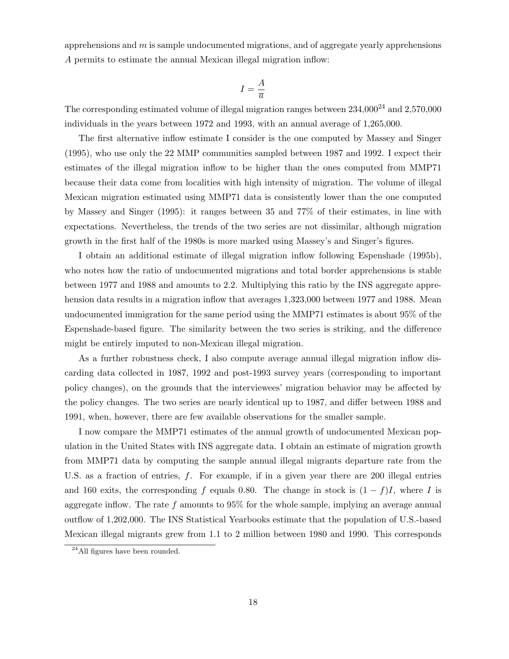apprehensions and  $m$  is sample undocumented migrations, and of aggregate yearly apprehensions A permits to estimate the annual Mexican illegal migration inflow:

$$
I = \frac{A}{\overline{a}}
$$

The corresponding estimated volume of illegal migration ranges between  $234,\!000^{24}$  and  $2,\!570,\!000$ individuals in the years between 1972 and 1993, with an annual average of 1,265,000.

The first alternative inflow estimate I consider is the one computed by Massey and Singer (1995), who use only the 22 MMP communities sampled between 1987 and 1992. I expect their estimates of the illegal migration inflow to be higher than the ones computed from MMP71 because their data come from localities with high intensity of migration. The volume of illegal Mexican migration estimated using MMP71 data is consistently lower than the one computed by Massey and Singer (1995): it ranges between 35 and 77% of their estimates, in line with expectations. Nevertheless, the trends of the two series are not dissimilar, although migration growth in the first half of the 1980s is more marked using Massey's and Singer's figures.

I obtain an additional estimate of illegal migration inflow following Espenshade (1995b), who notes how the ratio of undocumented migrations and total border apprehensions is stable between 1977 and 1988 and amounts to 2.2. Multiplying this ratio by the INS aggregate apprehension data results in a migration inflow that averages 1,323,000 between 1977 and 1988. Mean undocumented immigration for the same period using the MMP71 estimates is about 95% of the Espenshade-based figure. The similarity between the two series is striking, and the difference might be entirely imputed to non-Mexican illegal migration.

As a further robustness check, I also compute average annual illegal migration inflow discarding data collected in 1987, 1992 and post-1993 survey years (corresponding to important policy changes), on the grounds that the interviewees' migration behavior may be affected by the policy changes. The two series are nearly identical up to 1987, and differ between 1988 and 1991, when, however, there are few available observations for the smaller sample.

I now compare the MMP71 estimates of the annual growth of undocumented Mexican population in the United States with INS aggregate data. I obtain an estimate of migration growth from MMP71 data by computing the sample annual illegal migrants departure rate from the U.S. as a fraction of entries,  $f$ . For example, if in a given year there are 200 illegal entries and 160 exits, the corresponding f equals 0.80. The change in stock is  $(1 - f)I$ , where I is aggregate inflow. The rate  $f$  amounts to  $95\%$  for the whole sample, implying an average annual outflow of 1,202,000. The INS Statistical Yearbooks estimate that the population of U.S.-based Mexican illegal migrants grew from 1.1 to 2 million between 1980 and 1990. This corresponds

<sup>24</sup>All figures have been rounded.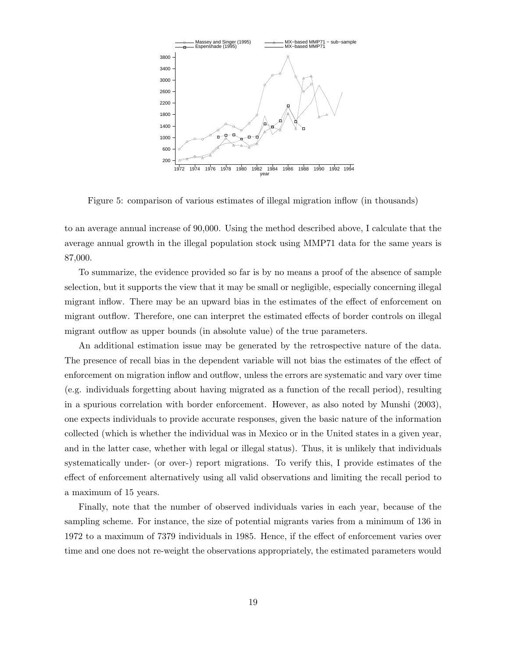

Figure 5: comparison of various estimates of illegal migration inflow (in thousands)

to an average annual increase of 90,000. Using the method described above, I calculate that the average annual growth in the illegal population stock using MMP71 data for the same years is 87,000.

To summarize, the evidence provided so far is by no means a proof of the absence of sample selection, but it supports the view that it may be small or negligible, especially concerning illegal migrant inflow. There may be an upward bias in the estimates of the effect of enforcement on migrant outflow. Therefore, one can interpret the estimated effects of border controls on illegal migrant outflow as upper bounds (in absolute value) of the true parameters.

An additional estimation issue may be generated by the retrospective nature of the data. The presence of recall bias in the dependent variable will not bias the estimates of the effect of enforcement on migration inflow and outflow, unless the errors are systematic and vary over time (e.g. individuals forgetting about having migrated as a function of the recall period), resulting in a spurious correlation with border enforcement. However, as also noted by Munshi (2003), one expects individuals to provide accurate responses, given the basic nature of the information collected (which is whether the individual was in Mexico or in the United states in a given year, and in the latter case, whether with legal or illegal status). Thus, it is unlikely that individuals systematically under- (or over-) report migrations. To verify this, I provide estimates of the effect of enforcement alternatively using all valid observations and limiting the recall period to a maximum of 15 years.

Finally, note that the number of observed individuals varies in each year, because of the sampling scheme. For instance, the size of potential migrants varies from a minimum of 136 in 1972 to a maximum of 7379 individuals in 1985. Hence, if the effect of enforcement varies over time and one does not re-weight the observations appropriately, the estimated parameters would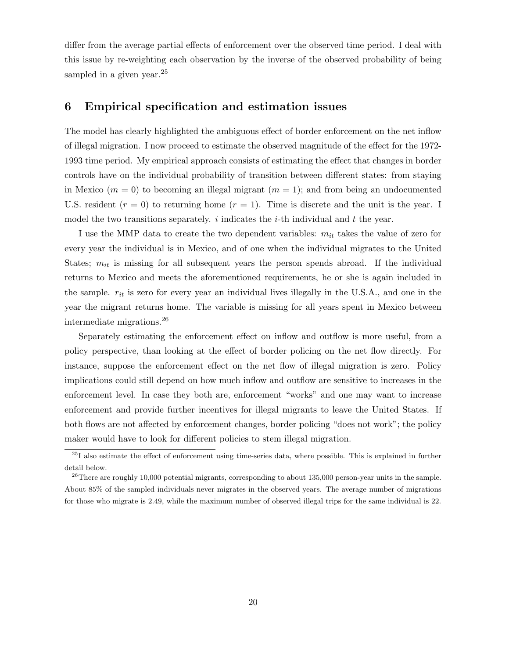differ from the average partial effects of enforcement over the observed time period. I deal with this issue by re-weighting each observation by the inverse of the observed probability of being sampled in a given year.<sup>25</sup>

#### 6 Empirical specification and estimation issues

The model has clearly highlighted the ambiguous effect of border enforcement on the net inflow of illegal migration. I now proceed to estimate the observed magnitude of the effect for the 1972- 1993 time period. My empirical approach consists of estimating the effect that changes in border controls have on the individual probability of transition between different states: from staying in Mexico ( $m = 0$ ) to becoming an illegal migrant ( $m = 1$ ); and from being an undocumented U.S. resident  $(r = 0)$  to returning home  $(r = 1)$ . Time is discrete and the unit is the year. I model the two transitions separately. i indicates the i-th individual and  $t$  the year.

I use the MMP data to create the two dependent variables:  $m_{it}$  takes the value of zero for every year the individual is in Mexico, and of one when the individual migrates to the United States;  $m_{it}$  is missing for all subsequent years the person spends abroad. If the individual returns to Mexico and meets the aforementioned requirements, he or she is again included in the sample.  $r_{it}$  is zero for every year an individual lives illegally in the U.S.A., and one in the year the migrant returns home. The variable is missing for all years spent in Mexico between intermediate migrations.<sup>26</sup>

Separately estimating the enforcement effect on inflow and outflow is more useful, from a policy perspective, than looking at the effect of border policing on the net flow directly. For instance, suppose the enforcement effect on the net flow of illegal migration is zero. Policy implications could still depend on how much inflow and outflow are sensitive to increases in the enforcement level. In case they both are, enforcement "works" and one may want to increase enforcement and provide further incentives for illegal migrants to leave the United States. If both flows are not affected by enforcement changes, border policing "does not work"; the policy maker would have to look for different policies to stem illegal migration.

 $^{25}$ I also estimate the effect of enforcement using time-series data, where possible. This is explained in further detail below.

<sup>&</sup>lt;sup>26</sup>There are roughly 10,000 potential migrants, corresponding to about 135,000 person-year units in the sample. About 85% of the sampled individuals never migrates in the observed years. The average number of migrations for those who migrate is 2.49, while the maximum number of observed illegal trips for the same individual is 22.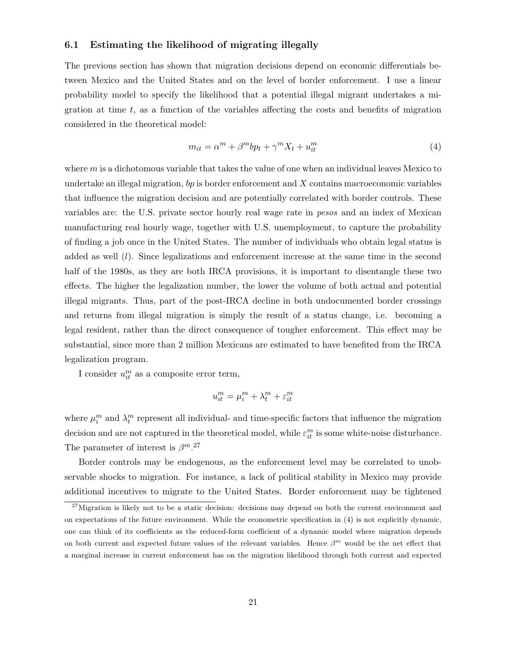#### 6.1 Estimating the likelihood of migrating illegally

The previous section has shown that migration decisions depend on economic differentials between Mexico and the United States and on the level of border enforcement. I use a linear probability model to specify the likelihood that a potential illegal migrant undertakes a migration at time  $t$ , as a function of the variables affecting the costs and benefits of migration considered in the theoretical model:

$$
m_{it} = \alpha^m + \beta^m b p_t + \gamma^m X_t + u_{it}^m \tag{4}
$$

where  $m$  is a dichotomous variable that takes the value of one when an individual leaves Mexico to undertake an illegal migration, bp is border enforcement and  $X$  contains macroeconomic variables that influence the migration decision and are potentially correlated with border controls. These variables are: the U.S. private sector hourly real wage rate in pesos and an index of Mexican manufacturing real hourly wage, together with U.S. unemployment, to capture the probability of finding a job once in the United States. The number of individuals who obtain legal status is added as well  $(l)$ . Since legalizations and enforcement increase at the same time in the second half of the 1980s, as they are both IRCA provisions, it is important to disentangle these two effects. The higher the legalization number, the lower the volume of both actual and potential illegal migrants. Thus, part of the post-IRCA decline in both undocumented border crossings and returns from illegal migration is simply the result of a status change, i.e. becoming a legal resident, rather than the direct consequence of tougher enforcement. This effect may be substantial, since more than 2 million Mexicans are estimated to have benefited from the IRCA legalization program.

I consider  $u_{it}^m$  as a composite error term,

$$
u_{it}^m = \mu_i^m + \lambda_t^m + \varepsilon_{it}^m
$$

where  $\mu_i^m$  and  $\lambda_i^m$  represent all individual- and time-specific factors that influence the migration decision and are not captured in the theoretical model, while  $\varepsilon_{it}^m$  is some white-noise disturbance. The parameter of interest is  $\beta^{m}$ .<sup>27</sup>

Border controls may be endogenous, as the enforcement level may be correlated to unobservable shocks to migration. For instance, a lack of political stability in Mexico may provide additional incentives to migrate to the United States. Border enforcement may be tightened

 $27$ Migration is likely not to be a static decision: decisions may depend on both the current environment and on expectations of the future environment. While the econometric specification in (4) is not explicitly dynamic, one can think of its coefficients as the reduced-form coefficient of a dynamic model where migration depends on both current and expected future values of the relevant variables. Hence  $\beta^m$  would be the net effect that a marginal increase in current enforcement has on the migration likelihood through both current and expected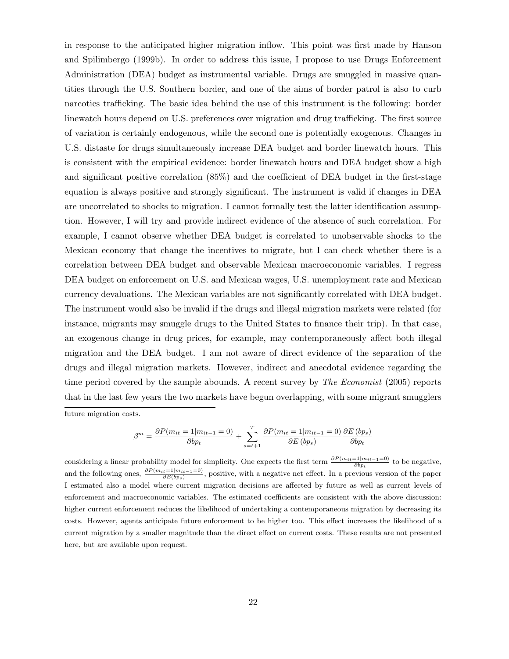in response to the anticipated higher migration inflow. This point was first made by Hanson and Spilimbergo (1999b). In order to address this issue, I propose to use Drugs Enforcement Administration (DEA) budget as instrumental variable. Drugs are smuggled in massive quantities through the U.S. Southern border, and one of the aims of border patrol is also to curb narcotics trafficking. The basic idea behind the use of this instrument is the following: border linewatch hours depend on U.S. preferences over migration and drug trafficking. The first source of variation is certainly endogenous, while the second one is potentially exogenous. Changes in U.S. distaste for drugs simultaneously increase DEA budget and border linewatch hours. This is consistent with the empirical evidence: border linewatch hours and DEA budget show a high and significant positive correlation (85%) and the coefficient of DEA budget in the first-stage equation is always positive and strongly significant. The instrument is valid if changes in DEA are uncorrelated to shocks to migration. I cannot formally test the latter identification assumption. However, I will try and provide indirect evidence of the absence of such correlation. For example, I cannot observe whether DEA budget is correlated to unobservable shocks to the Mexican economy that change the incentives to migrate, but I can check whether there is a correlation between DEA budget and observable Mexican macroeconomic variables. I regress DEA budget on enforcement on U.S. and Mexican wages, U.S. unemployment rate and Mexican currency devaluations. The Mexican variables are not significantly correlated with DEA budget. The instrument would also be invalid if the drugs and illegal migration markets were related (for instance, migrants may smuggle drugs to the United States to finance their trip). In that case, an exogenous change in drug prices, for example, may contemporaneously affect both illegal migration and the DEA budget. I am not aware of direct evidence of the separation of the drugs and illegal migration markets. However, indirect and anecdotal evidence regarding the time period covered by the sample abounds. A recent survey by *The Economist* (2005) reports that in the last few years the two markets have begun overlapping, with some migrant smugglers future migration costs.

$$
\beta^{m} = \frac{\partial P(m_{it} = 1|m_{it-1} = 0)}{\partial bp_{t}} + \sum_{s=t+1}^{T} \frac{\partial P(m_{it} = 1|m_{it-1} = 0)}{\partial E\left(bp_{s}\right)} \frac{\partial E\left(bp_{s}\right)}{\partial bp_{t}}
$$

considering a linear probability model for simplicity. One expects the first term  $\frac{\partial P(m_{it}=1|m_{it-1}=0)}{\partial bp_t}$  to be negative, and the following ones,  $\frac{\partial P(m_{it}=1|m_{it-1}=0)}{\partial E(b_{Ps})}$ , positive, with a negative net effect. In a previous version of the paper I estimated also a model where current migration decisions are affected by future as well as current levels of enforcement and macroeconomic variables. The estimated coefficients are consistent with the above discussion: higher current enforcement reduces the likelihood of undertaking a contemporaneous migration by decreasing its costs. However, agents anticipate future enforcement to be higher too. This effect increases the likelihood of a current migration by a smaller magnitude than the direct effect on current costs. These results are not presented here, but are available upon request.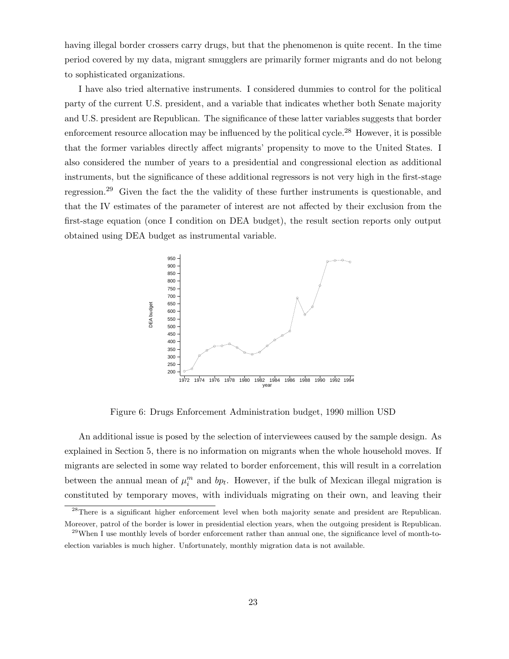having illegal border crossers carry drugs, but that the phenomenon is quite recent. In the time period covered by my data, migrant smugglers are primarily former migrants and do not belong to sophisticated organizations.

I have also tried alternative instruments. I considered dummies to control for the political party of the current U.S. president, and a variable that indicates whether both Senate majority and U.S. president are Republican. The significance of these latter variables suggests that border enforcement resource allocation may be influenced by the political cycle.<sup>28</sup> However, it is possible that the former variables directly affect migrants' propensity to move to the United States. I also considered the number of years to a presidential and congressional election as additional instruments, but the significance of these additional regressors is not very high in the first-stage regression.<sup>29</sup> Given the fact the the validity of these further instruments is questionable, and that the IV estimates of the parameter of interest are not affected by their exclusion from the first-stage equation (once I condition on DEA budget), the result section reports only output obtained using DEA budget as instrumental variable.



Figure 6: Drugs Enforcement Administration budget, 1990 million USD

An additional issue is posed by the selection of interviewees caused by the sample design. As explained in Section 5, there is no information on migrants when the whole household moves. If migrants are selected in some way related to border enforcement, this will result in a correlation between the annual mean of  $\mu_i^m$  and  $bp_t$ . However, if the bulk of Mexican illegal migration is constituted by temporary moves, with individuals migrating on their own, and leaving their

<sup>&</sup>lt;sup>28</sup>There is a significant higher enforcement level when both majority senate and president are Republican. Moreover, patrol of the border is lower in presidential election years, when the outgoing president is Republican.

 $^{29}$ When I use monthly levels of border enforcement rather than annual one, the significance level of month-toelection variables is much higher. Unfortunately, monthly migration data is not available.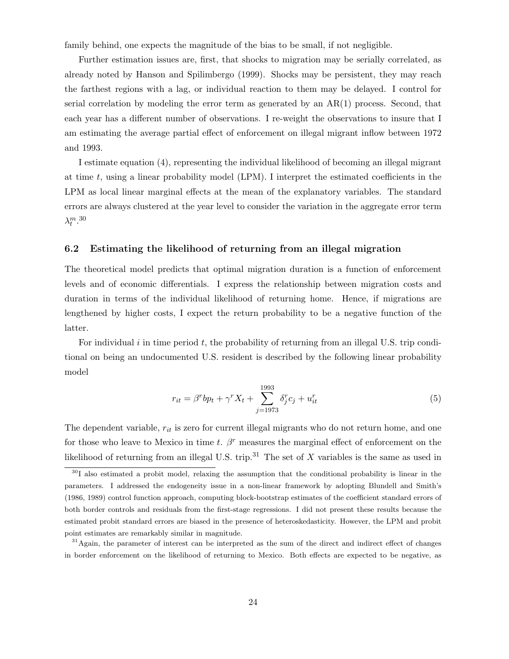family behind, one expects the magnitude of the bias to be small, if not negligible.

Further estimation issues are, first, that shocks to migration may be serially correlated, as already noted by Hanson and Spilimbergo (1999). Shocks may be persistent, they may reach the farthest regions with a lag, or individual reaction to them may be delayed. I control for serial correlation by modeling the error term as generated by an  $AR(1)$  process. Second, that each year has a different number of observations. I re-weight the observations to insure that I am estimating the average partial effect of enforcement on illegal migrant inflow between 1972 and 1993.

I estimate equation (4), representing the individual likelihood of becoming an illegal migrant at time  $t$ , using a linear probability model (LPM). I interpret the estimated coefficients in the LPM as local linear marginal effects at the mean of the explanatory variables. The standard errors are always clustered at the year level to consider the variation in the aggregate error term  $\lambda_t^{m}$ .<sup>30</sup>

#### 6.2 Estimating the likelihood of returning from an illegal migration

The theoretical model predicts that optimal migration duration is a function of enforcement levels and of economic differentials. I express the relationship between migration costs and duration in terms of the individual likelihood of returning home. Hence, if migrations are lengthened by higher costs, I expect the return probability to be a negative function of the latter.

For individual i in time period  $t$ , the probability of returning from an illegal U.S. trip conditional on being an undocumented U.S. resident is described by the following linear probability model

$$
r_{it} = \beta^r b p_t + \gamma^r X_t + \sum_{j=1973}^{1993} \delta_j^r c_j + u_{it}^r
$$
 (5)

The dependent variable,  $r_{it}$  is zero for current illegal migrants who do not return home, and one for those who leave to Mexico in time t.  $\beta^r$  measures the marginal effect of enforcement on the likelihood of returning from an illegal U.S. trip.<sup>31</sup> The set of  $X$  variables is the same as used in

<sup>&</sup>lt;sup>30</sup>I also estimated a probit model, relaxing the assumption that the conditional probability is linear in the parameters. I addressed the endogeneity issue in a non-linear framework by adopting Blundell and Smith's (1986, 1989) control function approach, computing block-bootstrap estimates of the coefficient standard errors of both border controls and residuals from the first-stage regressions. I did not present these results because the estimated probit standard errors are biased in the presence of heteroskedasticity. However, the LPM and probit point estimates are remarkably similar in magnitude.

<sup>&</sup>lt;sup>31</sup>Again, the parameter of interest can be interpreted as the sum of the direct and indirect effect of changes in border enforcement on the likelihood of returning to Mexico. Both effects are expected to be negative, as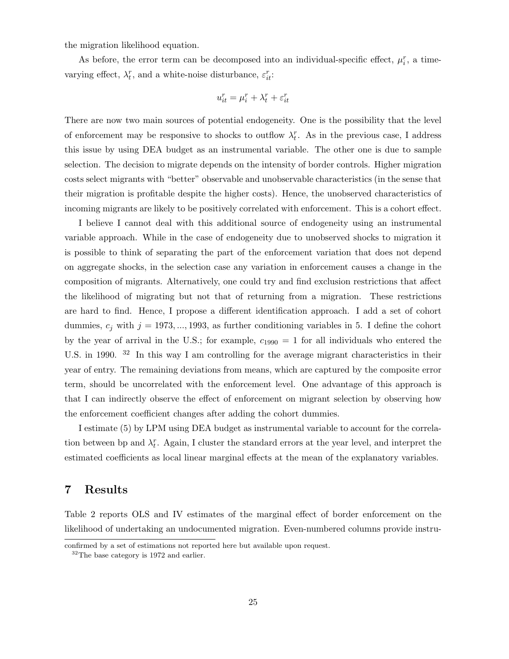the migration likelihood equation.

As before, the error term can be decomposed into an individual-specific effect,  $\mu_i^r$ , a timevarying effect,  $\lambda_t^r$ , and a white-noise disturbance,  $\varepsilon_{it}^r$ :

$$
u_{it}^r = \mu_i^r + \lambda_t^r + \varepsilon_{it}^r
$$

There are now two main sources of potential endogeneity. One is the possibility that the level of enforcement may be responsive to shocks to outflow  $\lambda_t^r$ . As in the previous case, I address this issue by using DEA budget as an instrumental variable. The other one is due to sample selection. The decision to migrate depends on the intensity of border controls. Higher migration costs select migrants with "better" observable and unobservable characteristics (in the sense that their migration is profitable despite the higher costs). Hence, the unobserved characteristics of incoming migrants are likely to be positively correlated with enforcement. This is a cohort effect.

I believe I cannot deal with this additional source of endogeneity using an instrumental variable approach. While in the case of endogeneity due to unobserved shocks to migration it is possible to think of separating the part of the enforcement variation that does not depend on aggregate shocks, in the selection case any variation in enforcement causes a change in the composition of migrants. Alternatively, one could try and find exclusion restrictions that affect the likelihood of migrating but not that of returning from a migration. These restrictions are hard to find. Hence, I propose a different identification approach. I add a set of cohort dummies,  $c_j$  with  $j = 1973, \ldots, 1993$ , as further conditioning variables in 5. I define the cohort by the year of arrival in the U.S.; for example,  $c_{1990} = 1$  for all individuals who entered the U.S. in 1990. <sup>32</sup> In this way I am controlling for the average migrant characteristics in their year of entry. The remaining deviations from means, which are captured by the composite error term, should be uncorrelated with the enforcement level. One advantage of this approach is that I can indirectly observe the effect of enforcement on migrant selection by observing how the enforcement coefficient changes after adding the cohort dummies.

I estimate (5) by LPM using DEA budget as instrumental variable to account for the correlation between bp and  $\lambda_t^r$ . Again, I cluster the standard errors at the year level, and interpret the estimated coefficients as local linear marginal effects at the mean of the explanatory variables.

#### 7 Results

Table 2 reports OLS and IV estimates of the marginal effect of border enforcement on the likelihood of undertaking an undocumented migration. Even-numbered columns provide instru-

confirmed by a set of estimations not reported here but available upon request.

 $32$ The base category is 1972 and earlier.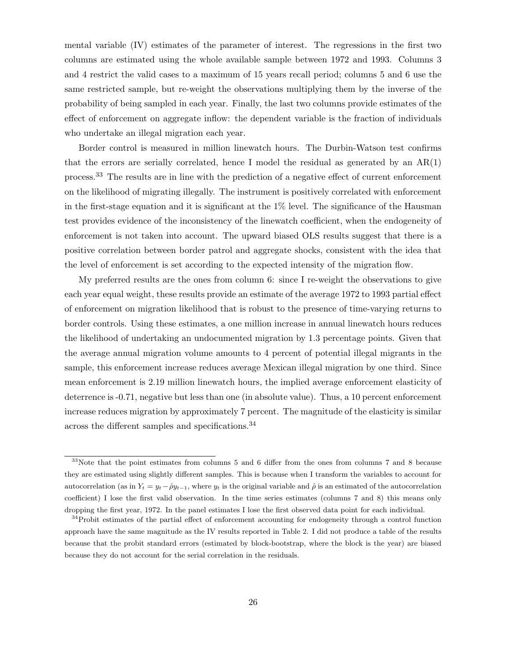mental variable (IV) estimates of the parameter of interest. The regressions in the first two columns are estimated using the whole available sample between 1972 and 1993. Columns 3 and 4 restrict the valid cases to a maximum of 15 years recall period; columns 5 and 6 use the same restricted sample, but re-weight the observations multiplying them by the inverse of the probability of being sampled in each year. Finally, the last two columns provide estimates of the effect of enforcement on aggregate inflow: the dependent variable is the fraction of individuals who undertake an illegal migration each year.

Border control is measured in million linewatch hours. The Durbin-Watson test confirms that the errors are serially correlated, hence I model the residual as generated by an  $AR(1)$ process.<sup>33</sup> The results are in line with the prediction of a negative effect of current enforcement on the likelihood of migrating illegally. The instrument is positively correlated with enforcement in the first-stage equation and it is significant at the 1% level. The significance of the Hausman test provides evidence of the inconsistency of the linewatch coefficient, when the endogeneity of enforcement is not taken into account. The upward biased OLS results suggest that there is a positive correlation between border patrol and aggregate shocks, consistent with the idea that the level of enforcement is set according to the expected intensity of the migration flow.

My preferred results are the ones from column 6: since I re-weight the observations to give each year equal weight, these results provide an estimate of the average 1972 to 1993 partial effect of enforcement on migration likelihood that is robust to the presence of time-varying returns to border controls. Using these estimates, a one million increase in annual linewatch hours reduces the likelihood of undertaking an undocumented migration by 1.3 percentage points. Given that the average annual migration volume amounts to 4 percent of potential illegal migrants in the sample, this enforcement increase reduces average Mexican illegal migration by one third. Since mean enforcement is 2.19 million linewatch hours, the implied average enforcement elasticity of deterrence is -0.71, negative but less than one (in absolute value). Thus, a 10 percent enforcement increase reduces migration by approximately 7 percent. The magnitude of the elasticity is similar across the different samples and specifications.<sup>34</sup>

<sup>33</sup>Note that the point estimates from columns 5 and 6 differ from the ones from columns 7 and 8 because they are estimated using slightly different samples. This is because when I transform the variables to account for autocorrelation (as in  $Y_t = y_t - \hat{\rho}y_{t-1}$ , where  $y_t$  is the original variable and  $\hat{\rho}$  is an estimated of the autocorrelation coefficient) I lose the first valid observation. In the time series estimates (columns 7 and 8) this means only dropping the first year, 1972. In the panel estimates I lose the first observed data point for each individual.

<sup>&</sup>lt;sup>34</sup>Probit estimates of the partial effect of enforcement accounting for endogeneity through a control function approach have the same magnitude as the IV results reported in Table 2. I did not produce a table of the results because that the probit standard errors (estimated by block-bootstrap, where the block is the year) are biased because they do not account for the serial correlation in the residuals.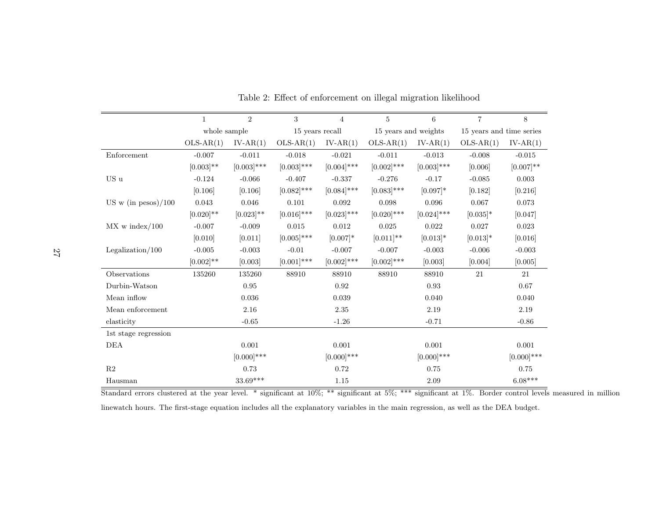|                          | $\mathbf{1}$ | $\overline{2}$ | 3               | $\overline{4}$ | 5                    | 6             | $\overline{7}$           | 8             |
|--------------------------|--------------|----------------|-----------------|----------------|----------------------|---------------|--------------------------|---------------|
|                          | whole sample |                | 15 years recall |                | 15 years and weights |               | 15 years and time series |               |
|                          | $OLS-AR(1)$  | $IV-AR(1)$     | $OLS-AR(1)$     | $IV-AR(1)$     | $OLS-AR(1)$          | $IV-AR(1)$    | $OLS-AR(1)$              | $IV-AR(1)$    |
| Enforcement              | $-0.007$     | $-0.011$       | $-0.018$        | $-0.021$       | $-0.011$             | $-0.013$      | $-0.008$                 | $-0.015$      |
|                          | $[0.003]$ ** | $[0.003]$ ***  | $[0.003]$ ***   | $[0.004]$ ***  | $[0.002]$ ***        | $[0.003]$ *** | [0.006]                  | $[0.007]$ **  |
| US u                     | $-0.124$     | $-0.066$       | $-0.407$        | $-0.337$       | $-0.276$             | $-0.17$       | $-0.085$                 | 0.003         |
|                          | [0.106]      | [0.106]        | $[0.082]$ ***   | $[0.084]$ ***  | $[0.083]$ ***        | $[0.097]$ *   | [0.182]                  | [0.216]       |
| US w (in pesos)/100      | 0.043        | 0.046          | 0.101           | 0.092          | 0.098                | 0.096         | 0.067                    | 0.073         |
|                          | $[0.020]$ ** | $[0.023]$ **   | $[0.016]$ ***   | $[0.023]$ ***  | $[0.020]$ ***        | $[0.024]$ *** | $[0.035]$ *              | [0.047]       |
| $MX \text{ w index}/100$ | $-0.007$     | $-0.009$       | 0.015           | 0.012          | 0.025                | 0.022         | 0.027                    | 0.023         |
|                          | [0.010]      | [0.011]        | $[0.005]$ ***   | $[0.007]*$     | $[0.011]$ **         | $[0.013]*$    | $[0.013]*$               | [0.016]       |
| Legalization/ $100$      | $-0.005$     | $-0.003$       | $-0.01$         | $-0.007$       | $-0.007$             | $-0.003$      | $-0.006$                 | $-0.003$      |
|                          | $[0.002]$ ** | [0.003]        | $[0.001]$ ***   | $[0.002]$ ***  | $[0.002]$ ***        | [0.003]       | [0.004]                  | [0.005]       |
| Observations             | 135260       | 135260         | 88910           | 88910          | 88910                | 88910         | 21                       | 21            |
| Durbin-Watson            |              | 0.95           |                 | 0.92           |                      | 0.93          |                          | 0.67          |
| Mean inflow              |              | 0.036          |                 | 0.039          |                      | 0.040         |                          | 0.040         |
| Mean enforcement         |              | 2.16           |                 | 2.35           |                      | 2.19          |                          | 2.19          |
| elasticity               |              | $-0.65$        |                 | $-1.26$        |                      | $-0.71$       |                          | $-0.86$       |
| 1st stage regression     |              |                |                 |                |                      |               |                          |               |
| DEA                      |              | 0.001          |                 | 0.001          |                      | 0.001         |                          | 0.001         |
|                          |              | $[0.000]$ ***  |                 | $[0.000]$ ***  |                      | $[0.000]$ *** |                          | $[0.000]$ *** |
| R2                       |              | 0.73           |                 | 0.72           |                      | 0.75          |                          | 0.75          |
| Hausman                  |              | $33.69***$     |                 | 1.15           |                      | 2.09          |                          | $6.08***$     |

Table 2: Effect of enforcement on illegal migration likelihood

Standard errors clustered at the year level. \* significant at 10%; \*\*\* significant at 5%; \*\*\* significant at 1%. Border control levels measured in million linewatch hours. The first-stage equation includes all the explanatory variables in the main regression, as well as the DEA budget.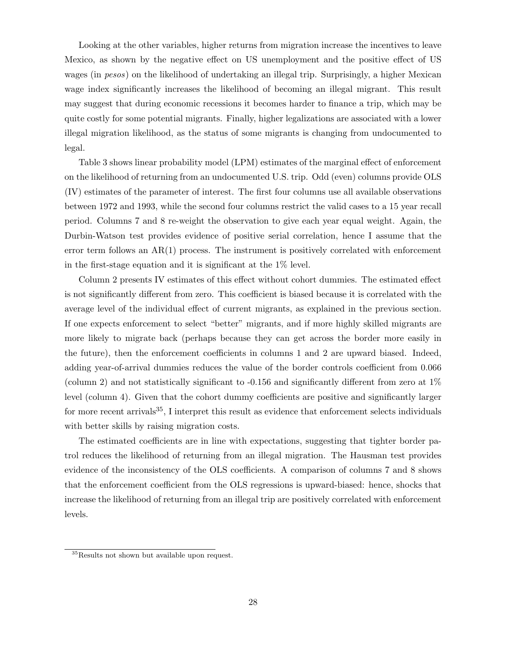Looking at the other variables, higher returns from migration increase the incentives to leave Mexico, as shown by the negative effect on US unemployment and the positive effect of US wages (in pesos) on the likelihood of undertaking an illegal trip. Surprisingly, a higher Mexican wage index significantly increases the likelihood of becoming an illegal migrant. This result may suggest that during economic recessions it becomes harder to finance a trip, which may be quite costly for some potential migrants. Finally, higher legalizations are associated with a lower illegal migration likelihood, as the status of some migrants is changing from undocumented to legal.

Table 3 shows linear probability model (LPM) estimates of the marginal effect of enforcement on the likelihood of returning from an undocumented U.S. trip. Odd (even) columns provide OLS (IV) estimates of the parameter of interest. The first four columns use all available observations between 1972 and 1993, while the second four columns restrict the valid cases to a 15 year recall period. Columns 7 and 8 re-weight the observation to give each year equal weight. Again, the Durbin-Watson test provides evidence of positive serial correlation, hence I assume that the error term follows an  $AR(1)$  process. The instrument is positively correlated with enforcement in the first-stage equation and it is significant at the 1% level.

Column 2 presents IV estimates of this effect without cohort dummies. The estimated effect is not significantly different from zero. This coefficient is biased because it is correlated with the average level of the individual effect of current migrants, as explained in the previous section. If one expects enforcement to select "better" migrants, and if more highly skilled migrants are more likely to migrate back (perhaps because they can get across the border more easily in the future), then the enforcement coefficients in columns 1 and 2 are upward biased. Indeed, adding year-of-arrival dummies reduces the value of the border controls coefficient from 0.066 (column 2) and not statistically significant to  $-0.156$  and significantly different from zero at  $1\%$ level (column 4). Given that the cohort dummy coefficients are positive and significantly larger for more recent arrivals<sup>35</sup>, I interpret this result as evidence that enforcement selects individuals with better skills by raising migration costs.

The estimated coefficients are in line with expectations, suggesting that tighter border patrol reduces the likelihood of returning from an illegal migration. The Hausman test provides evidence of the inconsistency of the OLS coefficients. A comparison of columns 7 and 8 shows that the enforcement coefficient from the OLS regressions is upward-biased: hence, shocks that increase the likelihood of returning from an illegal trip are positively correlated with enforcement levels.

<sup>35</sup>Results not shown but available upon request.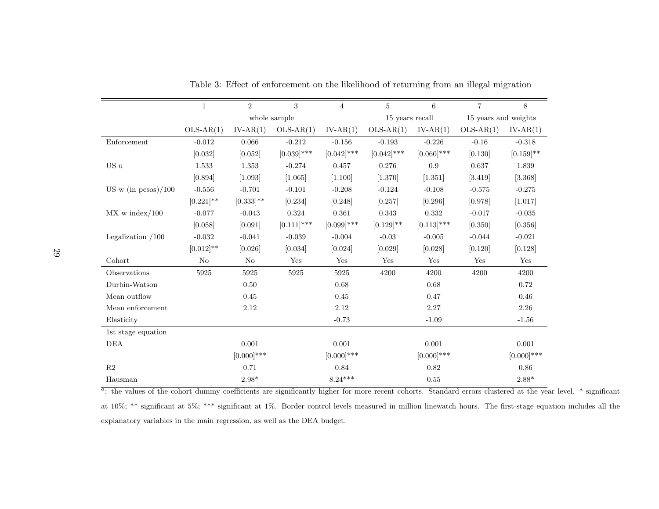|                           | $\mathbf{1}$ | 2             | 3             | $\overline{4}$ | 5               | 6             | $\overline{7}$       | 8             |
|---------------------------|--------------|---------------|---------------|----------------|-----------------|---------------|----------------------|---------------|
|                           |              |               | whole sample  |                | 15 years recall |               | 15 years and weights |               |
|                           | $OLS-AR(1)$  | $IV-AR(1)$    | $OLS-AR(1)$   | $IV-AR(1)$     | $OLS-AR(1)$     | $IV-AR(1)$    | $OLS-AR(1)$          | $IV-AR(1)$    |
| Enforcement               | $-0.012$     | 0.066         | $-0.212$      | $-0.156$       | $-0.193$        | $-0.226$      | $-0.16$              | $-0.318$      |
|                           | [0.032]      | [0.052]       | $[0.039]$ *** | $[0.042]$ ***  | $[0.042]$ ***   | $[0.060]$ *** | [0.130]              | $[0.159]$ **  |
| $\mathbf{US}\ \mathbf{u}$ | 1.533        | 1.353         | $-0.274$      | 0.457          | 0.276           | 0.9           | 0.637                | 1.839         |
|                           | [0.894]      | [1.093]       | [1.065]       | [1.100]        | [1.370]         | [1.351]       | [3.419]              | [3.368]       |
| US w (in pesos) $/100$    | $-0.556$     | $-0.701$      | $-0.101$      | $-0.208$       | $-0.124$        | $-0.108$      | $-0.575$             | $-0.275$      |
|                           | $[0.221]$ ** | $[0.333]$ **  | [0.234]       | [0.248]        | [0.257]         | [0.296]       | [0.978]              | [1.017]       |
| $MX \text{ w index}/100$  | $-0.077$     | $-0.043$      | 0.324         | 0.361          | 0.343           | 0.332         | $-0.017$             | $-0.035$      |
|                           | [0.058]      | [0.091]       | $[0.111]$ *** | $[0.099]$ ***  | $[0.129]$ **    | $[0.113]$ *** | [0.350]              | [0.356]       |
| Legalization $/100$       | $-0.032$     | $-0.041$      | $-0.039$      | $-0.004$       | $-0.03$         | $-0.005$      | $-0.044$             | $-0.021$      |
|                           | $[0.012]$ ** | [0.026]       | [0.034]       | [0.024]        | [0.029]         | [0.028]       | [0.120]              | [0.128]       |
| Cohort                    | No           | $\rm No$      | Yes           | Yes            | Yes             | Yes           | Yes                  | Yes           |
| Observations              | 5925         | 5925          | 5925          | 5925           | 4200            | 4200          | 4200                 | 4200          |
| Durbin-Watson             |              | 0.50          |               | 0.68           |                 | 0.68          |                      | 0.72          |
| Mean outflow              |              | 0.45          |               | 0.45           |                 | 0.47          |                      | 0.46          |
| Mean enforcement          |              | 2.12          |               | 2.12           |                 | 2.27          |                      | 2.26          |
| Elasticity                |              |               |               | $-0.73$        |                 | $-1.09$       |                      | $-1.56$       |
| 1st stage equation        |              |               |               |                |                 |               |                      |               |
| DEA                       |              | 0.001         |               | 0.001          |                 | 0.001         |                      | 0.001         |
|                           |              | $[0.000]$ *** |               | $[0.000]$ ***  |                 | $[0.000]$ *** |                      | $[0.000]$ *** |
| R2                        |              | 0.71          |               | 0.84           |                 | 0.82          |                      | 0.86          |
| Hausman                   |              | $2.98*$       |               | $8.24***$      |                 | 0.55          |                      | $2.88*$       |

Table 3: Effect of enforcement on the likelihood of returning from an illegal migration

 $a$ : the values of the cohort dummy coefficients are significantly higher for more recent cohorts. Standard errors clustered at the year level.  $*$  significant at 10%; \*\* significant at 5%; \*\*\* significant at 1%. Border control levels measured in million linewatch hours. The first-stage equation includes all theexplanatory variables in the main regression, as well as the DEA budget.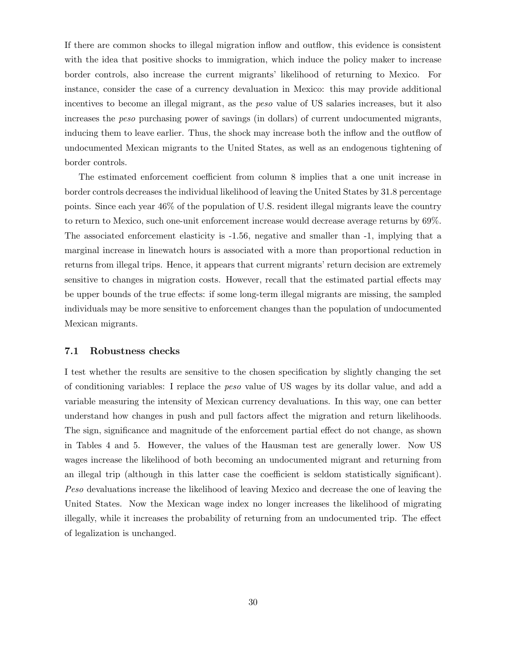If there are common shocks to illegal migration inflow and outflow, this evidence is consistent with the idea that positive shocks to immigration, which induce the policy maker to increase border controls, also increase the current migrants' likelihood of returning to Mexico. For instance, consider the case of a currency devaluation in Mexico: this may provide additional incentives to become an illegal migrant, as the peso value of US salaries increases, but it also increases the peso purchasing power of savings (in dollars) of current undocumented migrants, inducing them to leave earlier. Thus, the shock may increase both the inflow and the outflow of undocumented Mexican migrants to the United States, as well as an endogenous tightening of border controls.

The estimated enforcement coefficient from column 8 implies that a one unit increase in border controls decreases the individual likelihood of leaving the United States by 31.8 percentage points. Since each year 46% of the population of U.S. resident illegal migrants leave the country to return to Mexico, such one-unit enforcement increase would decrease average returns by 69%. The associated enforcement elasticity is -1.56, negative and smaller than -1, implying that a marginal increase in linewatch hours is associated with a more than proportional reduction in returns from illegal trips. Hence, it appears that current migrants' return decision are extremely sensitive to changes in migration costs. However, recall that the estimated partial effects may be upper bounds of the true effects: if some long-term illegal migrants are missing, the sampled individuals may be more sensitive to enforcement changes than the population of undocumented Mexican migrants.

#### 7.1 Robustness checks

I test whether the results are sensitive to the chosen specification by slightly changing the set of conditioning variables: I replace the peso value of US wages by its dollar value, and add a variable measuring the intensity of Mexican currency devaluations. In this way, one can better understand how changes in push and pull factors affect the migration and return likelihoods. The sign, significance and magnitude of the enforcement partial effect do not change, as shown in Tables 4 and 5. However, the values of the Hausman test are generally lower. Now US wages increase the likelihood of both becoming an undocumented migrant and returning from an illegal trip (although in this latter case the coefficient is seldom statistically significant). Peso devaluations increase the likelihood of leaving Mexico and decrease the one of leaving the United States. Now the Mexican wage index no longer increases the likelihood of migrating illegally, while it increases the probability of returning from an undocumented trip. The effect of legalization is unchanged.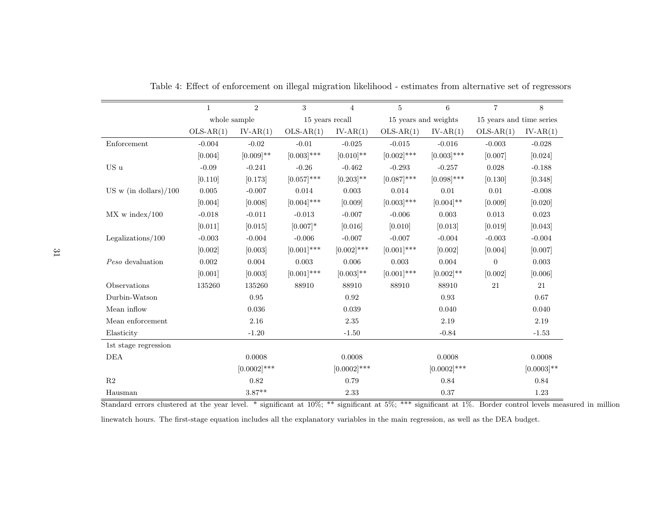|                          | $\overline{2}$<br>3<br>1 |                | $\overline{4}$  | 5              | 6                    | $\overline{7}$ | 8                        |               |
|--------------------------|--------------------------|----------------|-----------------|----------------|----------------------|----------------|--------------------------|---------------|
|                          | whole sample             |                | 15 years recall |                | 15 years and weights |                | 15 years and time series |               |
|                          | $OLS-AR(1)$              | $IV-AR(1)$     | $OLS-AR(1)$     | $IV-AR(1)$     | $OLS-AR(1)$          | $IV-AR(1)$     | $OLS-AR(1)$              | $IV-AR(1)$    |
| Enforcement              | $-0.004$                 | $-0.02$        | $-0.01$         | $-0.025$       | $-0.015$             | $-0.016$       | $-0.003$                 | $-0.028$      |
|                          | [0.004]                  | $[0.009]$ **   | $[0.003]$ ***   | $[0.010]$ **   | $[0.002]$ ***        | $[0.003]$ ***  | [0.007]                  | [0.024]       |
| US u                     | $-0.09$                  | $-0.241$       | $-0.26$         | $-0.462$       | $-0.293$             | $-0.257$       | 0.028                    | $-0.188$      |
|                          | [0.110]                  | [0.173]        | $[0.057]$ ***   | $[0.203]$ **   | $[0.087]$ ***        | $[0.098]$ ***  | [0.130]                  | [0.348]       |
| US w (in dollars) $/100$ | 0.005                    | $-0.007$       | 0.014           | 0.003          | 0.014                | 0.01           | 0.01                     | $-0.008$      |
|                          | [0.004]                  | [0.008]        | $[0.004]$ ***   | [0.009]        | $[0.003]$ ***        | $[0.004]$ **   | [0.009]                  | [0.020]       |
| $MX \text{ w index}/100$ | $-0.018$                 | $-0.011$       | $-0.013$        | $-0.007$       | $-0.006$             | 0.003          | 0.013                    | 0.023         |
|                          | [0.011]                  | [0.015]        | $[0.007]*$      | [0.016]        | [0.010]              | [0.013]        | [0.019]                  | [0.043]       |
| Legalizations/ $100$     | $-0.003$                 | $-0.004$       | $-0.006$        | $-0.007$       | $-0.007$             | $-0.004$       | $-0.003$                 | $-0.004$      |
|                          | [0.002]                  | [0.003]        | $[0.001]$ ***   | $[0.002]$ ***  | $[0.001]$ ***        | [0.002]        | [0.004]                  | [0.007]       |
| Peso devaluation         | 0.002                    | 0.004          | 0.003           | 0.006          | 0.003                | $0.004\,$      | $\overline{0}$           | 0.003         |
|                          | [0.001]                  | [0.003]        | $[0.001]$ ***   | $[0.003]$ **   | $[0.001]$ ***        | $[0.002]$ **   | [0.002]                  | [0.006]       |
| Observations             | 135260                   | 135260         | 88910           | 88910          | 88910                | 88910          | 21                       | 21            |
| Durbin-Watson            |                          | 0.95           |                 | 0.92           |                      | 0.93           |                          | 0.67          |
| Mean inflow              |                          | 0.036          |                 | 0.039          |                      | 0.040          |                          | 0.040         |
| Mean enforcement         |                          | 2.16           |                 | $2.35\,$       |                      | 2.19           |                          | 2.19          |
| Elasticity               |                          | $-1.20$        |                 | $-1.50$        |                      | $-0.84$        |                          | $-1.53$       |
| 1st stage regression     |                          |                |                 |                |                      |                |                          |               |
| <b>DEA</b>               |                          | 0.0008         |                 | 0.0008         |                      | 0.0008         |                          | 0.0008        |
|                          |                          | $[0.0002]$ *** |                 | $[0.0002]$ *** |                      | $[0.0002]$ *** |                          | $[0.0003]$ ** |
| R <sub>2</sub>           |                          | 0.82           |                 | 0.79           |                      | 0.84           |                          | 0.84          |
| Hausman                  |                          | $3.87**$       |                 | 2.33           |                      | 0.37           |                          | 1.23          |

Table 4: Effect of enforcement on illegal migration likelihood - estimates from alternative set of regressors

Standard errors clustered at the year level. \* significant at  $10\%$ ; \*\* significant at  $5\%$ ; \*\*\* significant at 1%. Border control levels measured in million

linewatch hours. The first-stage equation includes all the explanatory variables in the main regression, as well as the DEA budget.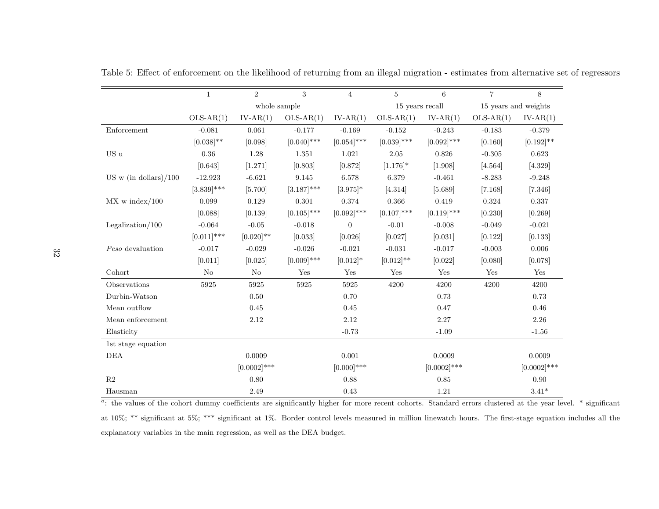|                          | $\mathbf{1}$   | $\overline{2}$ | 3             | $\overline{4}$   | $\overline{5}$  | 6              | $\overline{7}$       | 8              |
|--------------------------|----------------|----------------|---------------|------------------|-----------------|----------------|----------------------|----------------|
|                          |                | whole sample   |               |                  | 15 years recall |                | 15 years and weights |                |
|                          | $OLS-AR(1)$    | $IV-AR(1)$     | $OLS-AR(1)$   | $IV-AR(1)$       | $OLS-AR(1)$     | $IV-AR(1)$     | $OLS-AR(1)$          | $IV-AR(1)$     |
| Enforcement              | $-0.081$       | 0.061          | $-0.177$      | $-0.169$         | $-0.152$        | $-0.243$       | $-0.183$             | $-0.379$       |
|                          | $[0.038]^{**}$ | [0.098]        | $[0.040]$ *** | $[0.054]$ ***    | $[0.039]$ ***   | $[0.092]$ ***  | [0.160]              | $[0.192]$ **   |
| US u                     | $0.36\,$       | 1.28           | 1.351         | 1.021            | $2.05\,$        | 0.826          | $-0.305$             | 0.623          |
|                          | [0.643]        | [1.271]        | [0.803]       | [0.872]          | $[1.176]$ *     | [1.908]        | [4.564]              | [4.329]        |
| US w (in dollars) $/100$ | $-12.923$      | $-6.621$       | 9.145         | 6.578            | 6.379           | $-0.461$       | $-8.283$             | $-9.248$       |
|                          | $[3.839]$ ***  | [5.700]        | $[3.187]$ *** | $[3.975]$ *      | [4.314]         | [5.689]        | [7.168]              | [7.346]        |
| $MX \text{ w index}/100$ | 0.099          | 0.129          | 0.301         | 0.374            | 0.366           | 0.419          | $0.324\,$            | 0.337          |
|                          | [0.088]        | [0.139]        | $[0.105]$ *** | $[0.092]$ ***    | $[0.107]$ ***   | $[0.119]$ ***  | [0.230]              | [0.269]        |
| Legalization/ $100$      | $-0.064$       | $-0.05$        | $-0.018$      | $\boldsymbol{0}$ | $-0.01$         | $-0.008$       | $-0.049$             | $-0.021$       |
|                          | $[0.011]$ ***  | $[0.020]$ **   | [0.033]       | [0.026]          | [0.027]         | [0.031]        | [0.122]              | [0.133]        |
| Peso devaluation         | $-0.017$       | $-0.029$       | $-0.026$      | $-0.021$         | $-0.031$        | $-0.017$       | $-0.003$             | $0.006\,$      |
|                          | [0.011]        | [0.025]        | $[0.009]$ *** | $[0.012]*$       | $[0.012]$ **    | [0.022]        | [0.080]              | [0.078]        |
| Cohort                   | No             | No             | Yes           | Yes              | Yes             | Yes            | Yes                  | Yes            |
| Observations             | 5925           | 5925           | 5925          | 5925             | 4200            | 4200           | 4200                 | 4200           |
| Durbin-Watson            |                | 0.50           |               | 0.70             |                 | 0.73           |                      | 0.73           |
| Mean outflow             |                | $0.45\,$       |               | 0.45             |                 | 0.47           |                      | 0.46           |
| Mean enforcement         |                | 2.12           |               | 2.12             |                 | 2.27           |                      | 2.26           |
| Elasticity               |                |                |               | $-0.73$          |                 | $-1.09$        |                      | $-1.56$        |
| 1st stage equation       |                |                |               |                  |                 |                |                      |                |
| DEA                      |                | 0.0009         |               | 0.001            |                 | 0.0009         |                      | 0.0009         |
|                          |                | $[0.0002]$ *** |               | $[0.000]$ ***    |                 | $[0.0002]$ *** |                      | $[0.0002]$ *** |
| R <sub>2</sub>           |                | 0.80           |               | 0.88             |                 | 0.85           |                      | 0.90           |
| Hausman                  |                | 2.49           |               | 0.43             |                 | 1.21           |                      | $3.41*$        |

Table 5: Effect of enforcement on the likelihood of returning from an illegal migration - estimates from alternative set of regressors

Hausman 2.49 0.43 1.21 3.41\*<br>a: the values of the cohort dummy coefficients are significantly higher for more recent cohorts. Standard errors clustered at the year level. \* significant at 10%; \*\* significant at 5%; \*\*\* significant at 1%. Border control levels measured in million linewatch hours. The first-stage equation includes all theexplanatory variables in the main regression, as well as the DEA budget.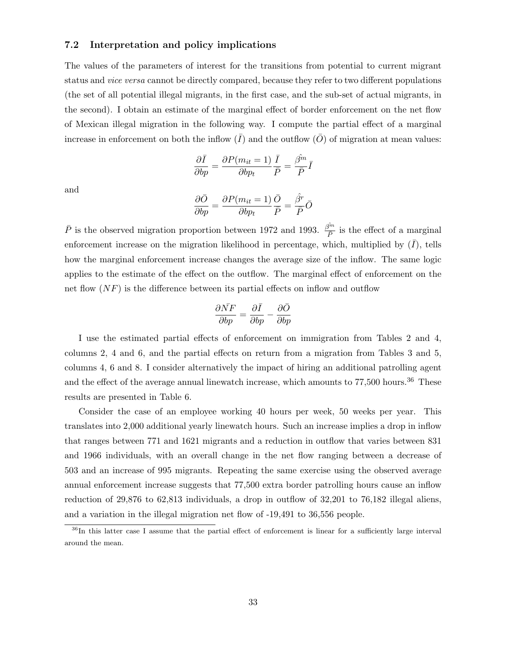#### 7.2 Interpretation and policy implications

The values of the parameters of interest for the transitions from potential to current migrant status and vice versa cannot be directly compared, because they refer to two different populations (the set of all potential illegal migrants, in the first case, and the sub-set of actual migrants, in the second). I obtain an estimate of the marginal effect of border enforcement on the net flow of Mexican illegal migration in the following way. I compute the partial effect of a marginal increase in enforcement on both the inflow  $(\bar{I})$  and the outflow  $(\bar{O})$  of migration at mean values:

$$
\frac{\partial \bar{I}}{\partial bp} = \frac{\partial P(m_{it} = 1)}{\partial bp_t} \frac{\bar{I}}{\bar{P}} = \frac{\hat{\beta^m}}{\bar{P}} \bar{I}
$$

and

$$
\frac{\partial \bar{O}}{\partial bp} = \frac{\partial P(m_{it} = 1)}{\partial bp_t} \frac{\bar{O}}{\bar{P}} = \frac{\hat{\beta}^r}{\bar{P}} \bar{O}
$$

 $\bar{P}$  is the observed migration proportion between 1972 and 1993.  $\frac{\hat{\beta}^m}{\bar{P}}$  is the effect of a marginal enforcement increase on the migration likelihood in percentage, which, multiplied by  $(\bar{I})$ , tells how the marginal enforcement increase changes the average size of the inflow. The same logic applies to the estimate of the effect on the outflow. The marginal effect of enforcement on the net flow  $(NF)$  is the difference between its partial effects on inflow and outflow

$$
\frac{\partial \bar{N}F}{\partial bp} = \frac{\partial \bar{I}}{\partial bp} - \frac{\partial \bar{O}}{\partial bp}
$$

I use the estimated partial effects of enforcement on immigration from Tables 2 and 4, columns 2, 4 and 6, and the partial effects on return from a migration from Tables 3 and 5, columns 4, 6 and 8. I consider alternatively the impact of hiring an additional patrolling agent and the effect of the average annual linewatch increase, which amounts to  $77,500$  hours.<sup>36</sup> These results are presented in Table 6.

Consider the case of an employee working 40 hours per week, 50 weeks per year. This translates into 2,000 additional yearly linewatch hours. Such an increase implies a drop in inflow that ranges between 771 and 1621 migrants and a reduction in outflow that varies between 831 and 1966 individuals, with an overall change in the net flow ranging between a decrease of 503 and an increase of 995 migrants. Repeating the same exercise using the observed average annual enforcement increase suggests that 77,500 extra border patrolling hours cause an inflow reduction of 29,876 to 62,813 individuals, a drop in outflow of 32,201 to 76,182 illegal aliens, and a variation in the illegal migration net flow of -19,491 to 36,556 people.

<sup>&</sup>lt;sup>36</sup>In this latter case I assume that the partial effect of enforcement is linear for a sufficiently large interval around the mean.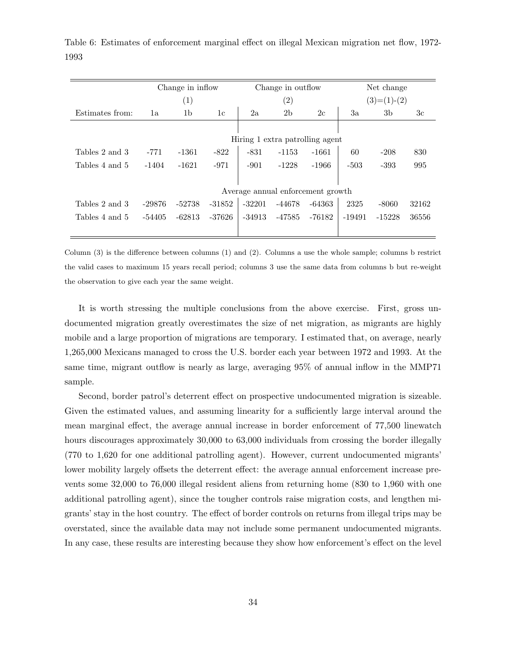|                 | Change in inflow |                                   |          |          | Change in outflow |          | Net change    |          |                |
|-----------------|------------------|-----------------------------------|----------|----------|-------------------|----------|---------------|----------|----------------|
|                 | (1)              |                                   |          |          | $\left( 2\right)$ |          | $(3)=(1)-(2)$ |          |                |
| Estimates from: | 1a               | 1b                                | 1c       | 2a       | 2 <sub>b</sub>    | 2c       | 3a            | 3b       | 3 <sub>c</sub> |
|                 |                  |                                   |          |          |                   |          |               |          |                |
|                 |                  | Hiring 1 extra patrolling agent   |          |          |                   |          |               |          |                |
| Tables 2 and 3  | $-771$           | $-1361$                           | $-822$   | $-831$   | $-1153$           | $-1661$  | 60            | $-208$   | 830            |
| Tables 4 and 5  | $-1404$          | $-1621$                           | $-971$   | $-901$   | $-1228$           | $-1966$  | $-503$        | $-393$   | 995            |
|                 |                  |                                   |          |          |                   |          |               |          |                |
|                 |                  | Average annual enforcement growth |          |          |                   |          |               |          |                |
| Tables 2 and 3  | $-29876$         | $-52738$                          | $-31852$ | $-32201$ | $-44678$          | $-64363$ | 2325          | $-8060$  | 32162          |
| Tables 4 and 5  | $-54405$         | $-62813$                          | $-37626$ | $-34913$ | -47585            | -76182   | $-19491$      | $-15228$ | 36556          |
|                 |                  |                                   |          |          |                   |          |               |          |                |

Table 6: Estimates of enforcement marginal effect on illegal Mexican migration net flow, 1972- 1993

Column (3) is the difference between columns (1) and (2). Columns a use the whole sample; columns b restrict the valid cases to maximum 15 years recall period; columns 3 use the same data from columns b but re-weight the observation to give each year the same weight.

It is worth stressing the multiple conclusions from the above exercise. First, gross undocumented migration greatly overestimates the size of net migration, as migrants are highly mobile and a large proportion of migrations are temporary. I estimated that, on average, nearly 1,265,000 Mexicans managed to cross the U.S. border each year between 1972 and 1993. At the same time, migrant outflow is nearly as large, averaging 95% of annual inflow in the MMP71 sample.

Second, border patrol's deterrent effect on prospective undocumented migration is sizeable. Given the estimated values, and assuming linearity for a sufficiently large interval around the mean marginal effect, the average annual increase in border enforcement of 77,500 linewatch hours discourages approximately 30,000 to 63,000 individuals from crossing the border illegally (770 to 1,620 for one additional patrolling agent). However, current undocumented migrants' lower mobility largely offsets the deterrent effect: the average annual enforcement increase prevents some 32,000 to 76,000 illegal resident aliens from returning home (830 to 1,960 with one additional patrolling agent), since the tougher controls raise migration costs, and lengthen migrants' stay in the host country. The effect of border controls on returns from illegal trips may be overstated, since the available data may not include some permanent undocumented migrants. In any case, these results are interesting because they show how enforcement's effect on the level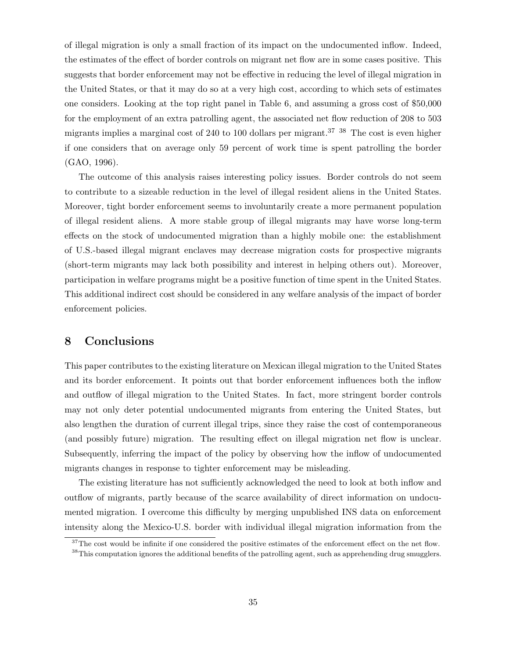of illegal migration is only a small fraction of its impact on the undocumented inflow. Indeed, the estimates of the effect of border controls on migrant net flow are in some cases positive. This suggests that border enforcement may not be effective in reducing the level of illegal migration in the United States, or that it may do so at a very high cost, according to which sets of estimates one considers. Looking at the top right panel in Table 6, and assuming a gross cost of \$50,000 for the employment of an extra patrolling agent, the associated net flow reduction of 208 to 503 migrants implies a marginal cost of 240 to 100 dollars per migrant.<sup>37</sup> <sup>38</sup> The cost is even higher if one considers that on average only 59 percent of work time is spent patrolling the border (GAO, 1996).

The outcome of this analysis raises interesting policy issues. Border controls do not seem to contribute to a sizeable reduction in the level of illegal resident aliens in the United States. Moreover, tight border enforcement seems to involuntarily create a more permanent population of illegal resident aliens. A more stable group of illegal migrants may have worse long-term effects on the stock of undocumented migration than a highly mobile one: the establishment of U.S.-based illegal migrant enclaves may decrease migration costs for prospective migrants (short-term migrants may lack both possibility and interest in helping others out). Moreover, participation in welfare programs might be a positive function of time spent in the United States. This additional indirect cost should be considered in any welfare analysis of the impact of border enforcement policies.

#### 8 Conclusions

This paper contributes to the existing literature on Mexican illegal migration to the United States and its border enforcement. It points out that border enforcement influences both the inflow and outflow of illegal migration to the United States. In fact, more stringent border controls may not only deter potential undocumented migrants from entering the United States, but also lengthen the duration of current illegal trips, since they raise the cost of contemporaneous (and possibly future) migration. The resulting effect on illegal migration net flow is unclear. Subsequently, inferring the impact of the policy by observing how the inflow of undocumented migrants changes in response to tighter enforcement may be misleading.

The existing literature has not sufficiently acknowledged the need to look at both inflow and outflow of migrants, partly because of the scarce availability of direct information on undocumented migration. I overcome this difficulty by merging unpublished INS data on enforcement intensity along the Mexico-U.S. border with individual illegal migration information from the

 $37$ The cost would be infinite if one considered the positive estimates of the enforcement effect on the net flow.

<sup>&</sup>lt;sup>38</sup>This computation ignores the additional benefits of the patrolling agent, such as apprehending drug smugglers.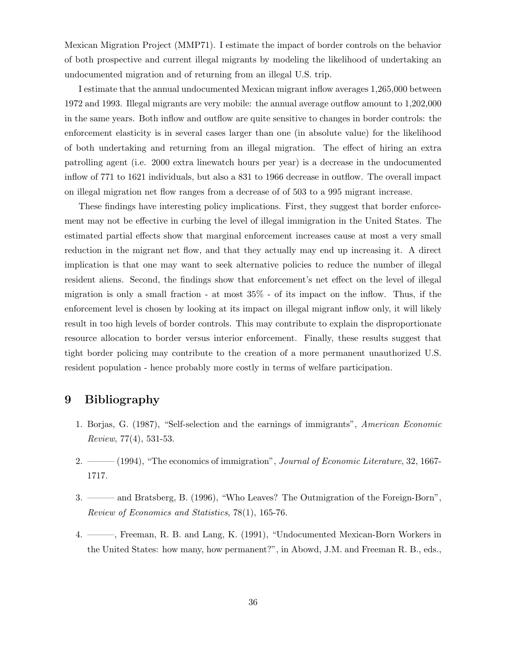Mexican Migration Project (MMP71). I estimate the impact of border controls on the behavior of both prospective and current illegal migrants by modeling the likelihood of undertaking an undocumented migration and of returning from an illegal U.S. trip.

I estimate that the annual undocumented Mexican migrant inflow averages 1,265,000 between 1972 and 1993. Illegal migrants are very mobile: the annual average outflow amount to 1,202,000 in the same years. Both inflow and outflow are quite sensitive to changes in border controls: the enforcement elasticity is in several cases larger than one (in absolute value) for the likelihood of both undertaking and returning from an illegal migration. The effect of hiring an extra patrolling agent (i.e. 2000 extra linewatch hours per year) is a decrease in the undocumented inflow of 771 to 1621 individuals, but also a 831 to 1966 decrease in outflow. The overall impact on illegal migration net flow ranges from a decrease of of 503 to a 995 migrant increase.

These findings have interesting policy implications. First, they suggest that border enforcement may not be effective in curbing the level of illegal immigration in the United States. The estimated partial effects show that marginal enforcement increases cause at most a very small reduction in the migrant net flow, and that they actually may end up increasing it. A direct implication is that one may want to seek alternative policies to reduce the number of illegal resident aliens. Second, the findings show that enforcement's net effect on the level of illegal migration is only a small fraction - at most 35% - of its impact on the inflow. Thus, if the enforcement level is chosen by looking at its impact on illegal migrant inflow only, it will likely result in too high levels of border controls. This may contribute to explain the disproportionate resource allocation to border versus interior enforcement. Finally, these results suggest that tight border policing may contribute to the creation of a more permanent unauthorized U.S. resident population - hence probably more costly in terms of welfare participation.

#### 9 Bibliography

- 1. Borjas, G. (1987), "Self-selection and the earnings of immigrants", American Economic Review, 77(4), 531-53.
- 2. ——— (1994), "The economics of immigration", Journal of Economic Literature, 32, 1667-1717.
- 3. ——— and Bratsberg, B. (1996), "Who Leaves? The Outmigration of the Foreign-Born", Review of Economics and Statistics, 78(1), 165-76.
- 4. ———, Freeman, R. B. and Lang, K. (1991), "Undocumented Mexican-Born Workers in the United States: how many, how permanent?", in Abowd, J.M. and Freeman R. B., eds.,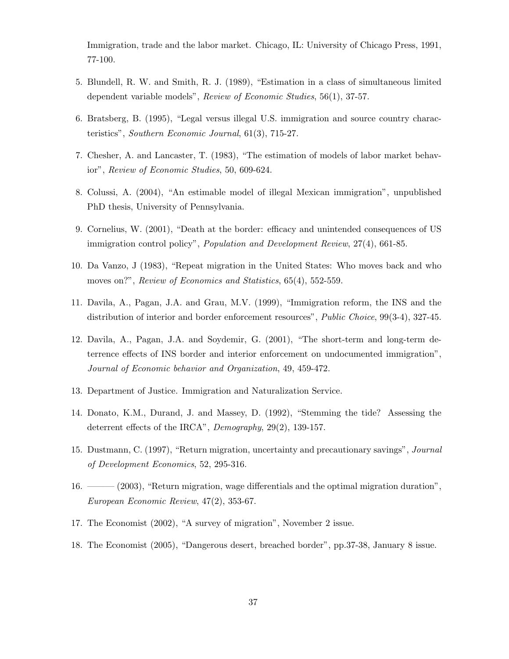Immigration, trade and the labor market. Chicago, IL: University of Chicago Press, 1991, 77-100.

- 5. Blundell, R. W. and Smith, R. J. (1989), "Estimation in a class of simultaneous limited dependent variable models", Review of Economic Studies, 56(1), 37-57.
- 6. Bratsberg, B. (1995), "Legal versus illegal U.S. immigration and source country characteristics", Southern Economic Journal, 61(3), 715-27.
- 7. Chesher, A. and Lancaster, T. (1983), "The estimation of models of labor market behavior", Review of Economic Studies, 50, 609-624.
- 8. Colussi, A. (2004), "An estimable model of illegal Mexican immigration", unpublished PhD thesis, University of Pennsylvania.
- 9. Cornelius, W. (2001), "Death at the border: efficacy and unintended consequences of US immigration control policy", Population and Development Review, 27(4), 661-85.
- 10. Da Vanzo, J (1983), "Repeat migration in the United States: Who moves back and who moves on?", Review of Economics and Statistics, 65(4), 552-559.
- 11. Davila, A., Pagan, J.A. and Grau, M.V. (1999), "Immigration reform, the INS and the distribution of interior and border enforcement resources", *Public Choice*, 99(3-4), 327-45.
- 12. Davila, A., Pagan, J.A. and Soydemir, G. (2001), "The short-term and long-term deterrence effects of INS border and interior enforcement on undocumented immigration", Journal of Economic behavior and Organization, 49, 459-472.
- 13. Department of Justice. Immigration and Naturalization Service.
- 14. Donato, K.M., Durand, J. and Massey, D. (1992), "Stemming the tide? Assessing the deterrent effects of the IRCA", Demography, 29(2), 139-157.
- 15. Dustmann, C. (1997), "Return migration, uncertainty and precautionary savings", Journal of Development Economics, 52, 295-316.
- 16. ——— (2003), "Return migration, wage differentials and the optimal migration duration", European Economic Review, 47(2), 353-67.
- 17. The Economist (2002), "A survey of migration", November 2 issue.
- 18. The Economist (2005), "Dangerous desert, breached border", pp.37-38, January 8 issue.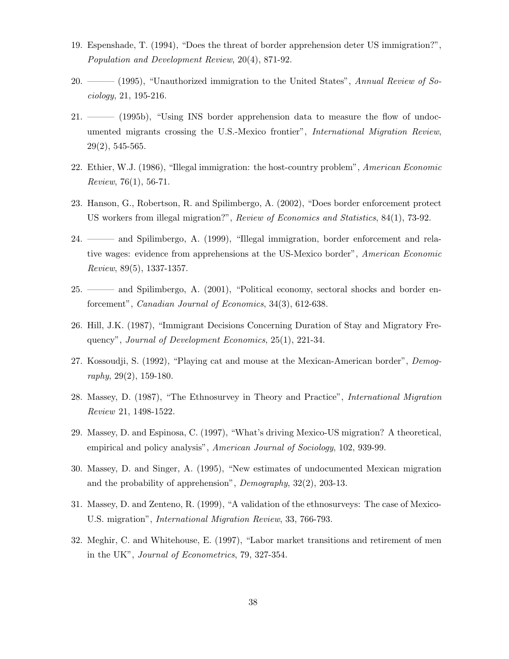- 19. Espenshade, T. (1994), "Does the threat of border apprehension deter US immigration?", Population and Development Review, 20(4), 871-92.
- 20. ——— (1995), "Unauthorized immigration to the United States", Annual Review of Sociology, 21, 195-216.
- 21. ——— (1995b), "Using INS border apprehension data to measure the flow of undocumented migrants crossing the U.S.-Mexico frontier", International Migration Review, 29(2), 545-565.
- 22. Ethier, W.J. (1986), "Illegal immigration: the host-country problem", American Economic Review, 76(1), 56-71.
- 23. Hanson, G., Robertson, R. and Spilimbergo, A. (2002), "Does border enforcement protect US workers from illegal migration?", Review of Economics and Statistics, 84(1), 73-92.
- 24. ——— and Spilimbergo, A. (1999), "Illegal immigration, border enforcement and relative wages: evidence from apprehensions at the US-Mexico border", American Economic Review, 89(5), 1337-1357.
- 25. ——— and Spilimbergo, A. (2001), "Political economy, sectoral shocks and border enforcement", Canadian Journal of Economics, 34(3), 612-638.
- 26. Hill, J.K. (1987), "Immigrant Decisions Concerning Duration of Stay and Migratory Frequency", Journal of Development Economics, 25(1), 221-34.
- 27. Kossoudji, S. (1992), "Playing cat and mouse at the Mexican-American border", Demography, 29(2), 159-180.
- 28. Massey, D. (1987), "The Ethnosurvey in Theory and Practice", International Migration Review 21, 1498-1522.
- 29. Massey, D. and Espinosa, C. (1997), "What's driving Mexico-US migration? A theoretical, empirical and policy analysis", American Journal of Sociology, 102, 939-99.
- 30. Massey, D. and Singer, A. (1995), "New estimates of undocumented Mexican migration and the probability of apprehension", Demography, 32(2), 203-13.
- 31. Massey, D. and Zenteno, R. (1999), "A validation of the ethnosurveys: The case of Mexico-U.S. migration", International Migration Review, 33, 766-793.
- 32. Meghir, C. and Whitehouse, E. (1997), "Labor market transitions and retirement of men in the UK", Journal of Econometrics, 79, 327-354.